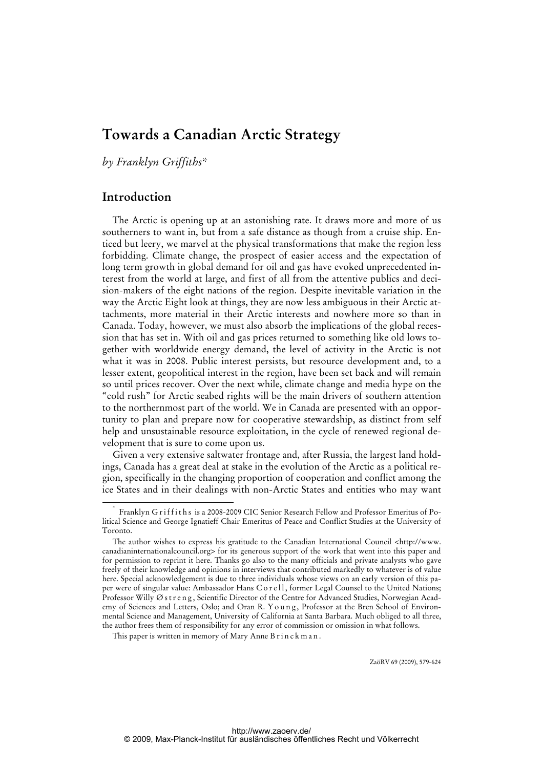# **Towards a Canadian Arctic Strategy**

*by Franklyn Griffiths\** 

# **Introduction**

The Arctic is opening up at an astonishing rate. It draws more and more of us southerners to want in, but from a safe distance as though from a cruise ship. Enticed but leery, we marvel at the physical transformations that make the region less forbidding. Climate change, the prospect of easier access and the expectation of long term growth in global demand for oil and gas have evoked unprecedented interest from the world at large, and first of all from the attentive publics and decision-makers of the eight nations of the region. Despite inevitable variation in the way the Arctic Eight look at things, they are now less ambiguous in their Arctic attachments, more material in their Arctic interests and nowhere more so than in Canada. Today, however, we must also absorb the implications of the global recession that has set in. With oil and gas prices returned to something like old lows together with worldwide energy demand, the level of activity in the Arctic is not what it was in 2008. Public interest persists, but resource development and, to a lesser extent, geopolitical interest in the region, have been set back and will remain so until prices recover. Over the next while, climate change and media hype on the "cold rush" for Arctic seabed rights will be the main drivers of southern attention to the northernmost part of the world. We in Canada are presented with an opportunity to plan and prepare now for cooperative stewardship, as distinct from self help and unsustainable resource exploitation, in the cycle of renewed regional development that is sure to come upon us.

Given a very extensive saltwater frontage and, after Russia, the largest land holdings, Canada has a great deal at stake in the evolution of the Arctic as a political region, specifically in the changing proportion of cooperation and conflict among the ice States and in their dealings with non-Arctic States and entities who may want

ZaöRV 69 (2009), 579-624

 <sup>\*</sup> Franklyn Griffiths is a 2008-2009 CIC Senior Research Fellow and Professor Emeritus of Political Science and George Ignatieff Chair Emeritus of Peace and Conflict Studies at the University of Toronto.

The author wishes to express his gratitude to the Canadian International Council <[http://www.](http://www) canadianinternationalcouncil.org> for its generous support of the work that went into this paper and for permission to reprint it here. Thanks go also to the many officials and private analysts who gave freely of their knowledge and opinions in interviews that contributed markedly to whatever is of value here. Special acknowledgement is due to three individuals whose views on an early version of this paper were of singular value: Ambassador Hans C o r e l l, former Legal Counsel to the United Nations; Professor Willy Østreng, Scientific Director of the Centre for Advanced Studies, Norwegian Academy of Sciences and Letters, Oslo; and Oran R. Y o u n g, Professor at the Bren School of Environmental Science and Management, University of California at Santa Barbara. Much obliged to all three, the author frees them of responsibility for any error of commission or omission in what follows.

This paper is written in memory of Mary Anne Brinckman.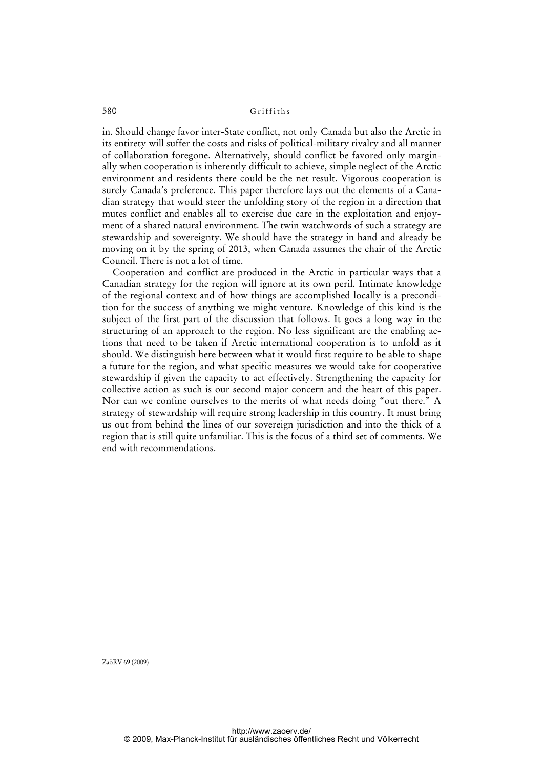in. Should change favor inter-State conflict, not only Canada but also the Arctic in its entirety will suffer the costs and risks of political-military rivalry and all manner of collaboration foregone. Alternatively, should conflict be favored only marginally when cooperation is inherently difficult to achieve, simple neglect of the Arctic environment and residents there could be the net result. Vigorous cooperation is surely Canada's preference. This paper therefore lays out the elements of a Canadian strategy that would steer the unfolding story of the region in a direction that mutes conflict and enables all to exercise due care in the exploitation and enjoyment of a shared natural environment. The twin watchwords of such a strategy are stewardship and sovereignty. We should have the strategy in hand and already be moving on it by the spring of 2013, when Canada assumes the chair of the Arctic Council. There is not a lot of time.

Cooperation and conflict are produced in the Arctic in particular ways that a Canadian strategy for the region will ignore at its own peril. Intimate knowledge of the regional context and of how things are accomplished locally is a precondition for the success of anything we might venture. Knowledge of this kind is the subject of the first part of the discussion that follows. It goes a long way in the structuring of an approach to the region. No less significant are the enabling actions that need to be taken if Arctic international cooperation is to unfold as it should. We distinguish here between what it would first require to be able to shape a future for the region, and what specific measures we would take for cooperative stewardship if given the capacity to act effectively. Strengthening the capacity for collective action as such is our second major concern and the heart of this paper. Nor can we confine ourselves to the merits of what needs doing "out there." A strategy of stewardship will require strong leadership in this country. It must bring us out from behind the lines of our sovereign jurisdiction and into the thick of a region that is still quite unfamiliar. This is the focus of a third set of comments. We end with recommendations.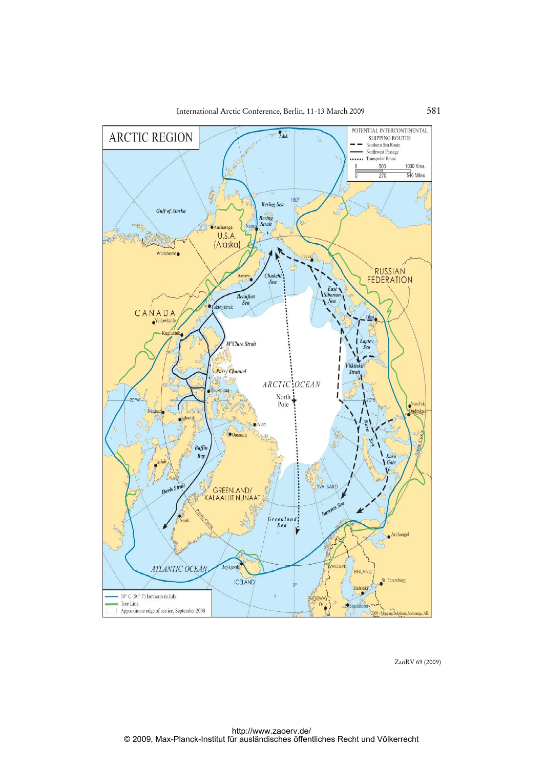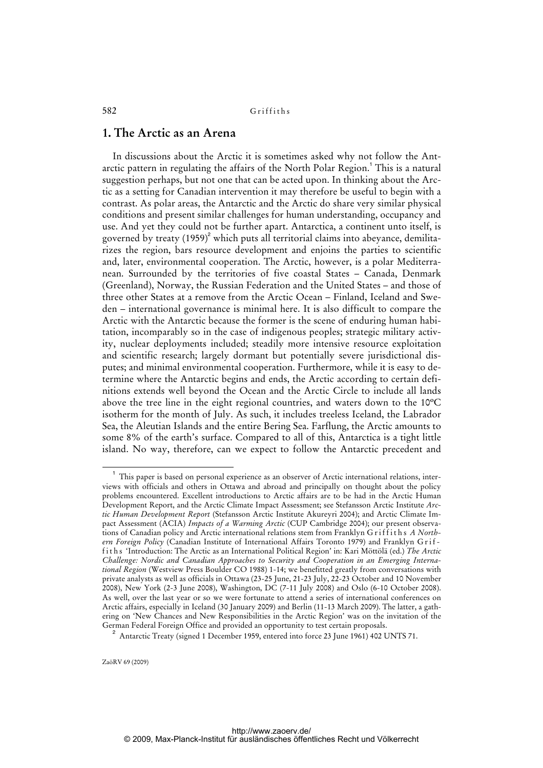### **1. The Arctic as an Arena**

In discussions about the Arctic it is sometimes asked why not follow the Antarctic pattern in regulating the affairs of the North Polar Region.<sup>1</sup> This is a natural suggestion perhaps, but not one that can be acted upon. In thinking about the Arctic as a setting for Canadian intervention it may therefore be useful to begin with a contrast. As polar areas, the Antarctic and the Arctic do share very similar physical conditions and present similar challenges for human understanding, occupancy and use. And yet they could not be further apart. Antarctica, a continent unto itself, is governed by treaty  $(1959)^2$  which puts all territorial claims into abeyance, demilitarizes the region, bars resource development and enjoins the parties to scientific and, later, environmental cooperation. The Arctic, however, is a polar Mediterranean. Surrounded by the territories of five coastal States – Canada, Denmark (Greenland), Norway, the Russian Federation and the United States – and those of three other States at a remove from the Arctic Ocean – Finland, Iceland and Sweden – international governance is minimal here. It is also difficult to compare the Arctic with the Antarctic because the former is the scene of enduring human habitation, incomparably so in the case of indigenous peoples; strategic military activity, nuclear deployments included; steadily more intensive resource exploitation and scientific research; largely dormant but potentially severe jurisdictional disputes; and minimal environmental cooperation. Furthermore, while it is easy to determine where the Antarctic begins and ends, the Arctic according to certain definitions extends well beyond the Ocean and the Arctic Circle to include all lands above the tree line in the eight regional countries, and waters down to the 10ºC isotherm for the month of July. As such, it includes treeless Iceland, the Labrador Sea, the Aleutian Islands and the entire Bering Sea. Farflung, the Arctic amounts to some 8% of the earth's surface. Compared to all of this, Antarctica is a tight little island. No way, therefore, can we expect to follow the Antarctic precedent and

<sup>1</sup> This paper is based on personal experience as an observer of Arctic international relations, interviews with officials and others in Ottawa and abroad and principally on thought about the policy problems encountered. Excellent introductions to Arctic affairs are to be had in the Arctic Human Development Report, and the Arctic Climate Impact Assessment; see Stefansson Arctic Institute *Arctic Human Development Report* (Stefansson Arctic Institute Akureyri 2004); and Arctic Climate Impact Assessment (ACIA) *Impacts of a Warming Arctic* (CUP Cambridge 2004); our present observations of Canadian policy and Arctic international relations stem from Franklyn Griffiths A North*ern Foreign Policy* (Canadian Institute of International Affairs Toronto 1979) and Franklyn Griff i t h s 'Introduction: The Arctic as an International Political Region' in: Kari Möttölä (ed.) *The Arctic Challenge: Nordic and Canadian Approaches to Security and Cooperation in an Emerging International Region* (Westview Press Boulder CO 1988) 1-14; we benefitted greatly from conversations with private analysts as well as officials in Ottawa (23-25 June, 21-23 July, 22-23 October and 10 November 2008), New York (2-3 June 2008), Washington, DC (7-11 July 2008) and Oslo (6-10 October 2008). As well, over the last year or so we were fortunate to attend a series of international conferences on Arctic affairs, especially in Iceland (30 January 2009) and Berlin (11-13 March 2009). The latter, a gathering on 'New Chances and New Responsibilities in the Arctic Region' was on the invitation of the German Federal Foreign Office and provided an opportunity to test certain proposals.

<sup>&</sup>lt;sup>2</sup> Antarctic Treaty (signed 1 December 1959, entered into force 23 June 1961) 402 UNTS 71.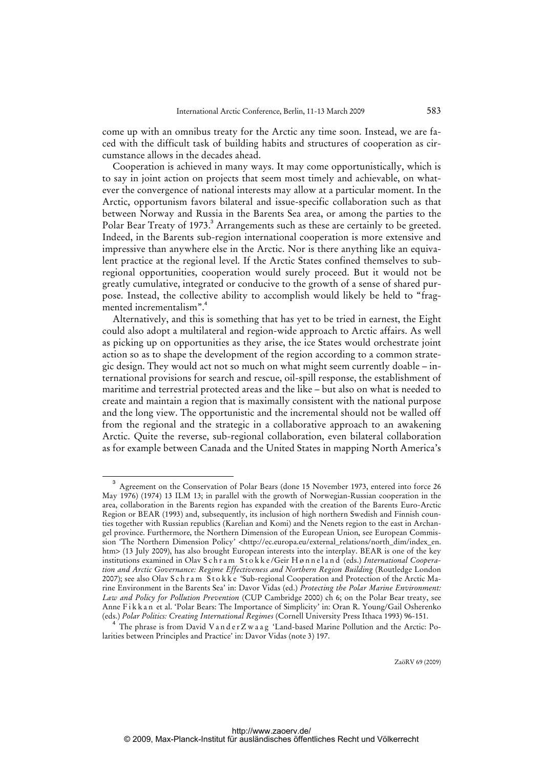come up with an omnibus treaty for the Arctic any time soon. Instead, we are faced with the difficult task of building habits and structures of cooperation as circumstance allows in the decades ahead.

Cooperation is achieved in many ways. It may come opportunistically, which is to say in joint action on projects that seem most timely and achievable, on whatever the convergence of national interests may allow at a particular moment. In the Arctic, opportunism favors bilateral and issue-specific collaboration such as that between Norway and Russia in the Barents Sea area, or among the parties to the Polar Bear Treaty of 1973.<sup>3</sup> Arrangements such as these are certainly to be greeted. Indeed, in the Barents sub-region international cooperation is more extensive and impressive than anywhere else in the Arctic. Nor is there anything like an equivalent practice at the regional level. If the Arctic States confined themselves to subregional opportunities, cooperation would surely proceed. But it would not be greatly cumulative, integrated or conducive to the growth of a sense of shared purpose. Instead, the collective ability to accomplish would likely be held to "fragmented incrementalism".<sup>4</sup>

Alternatively, and this is something that has yet to be tried in earnest, the Eight could also adopt a multilateral and region-wide approach to Arctic affairs. As well as picking up on opportunities as they arise, the ice States would orchestrate joint action so as to shape the development of the region according to a common strategic design. They would act not so much on what might seem currently doable – international provisions for search and rescue, oil-spill response, the establishment of maritime and terrestrial protected areas and the like – but also on what is needed to create and maintain a region that is maximally consistent with the national purpose and the long view. The opportunistic and the incremental should not be walled off from the regional and the strategic in a collaborative approach to an awakening Arctic. Quite the reverse, sub-regional collaboration, even bilateral collaboration as for example between Canada and the United States in mapping North America's

<sup>3</sup> Agreement on the Conservation of Polar Bears (done 15 November 1973, entered into force 26 May 1976) (1974) 13 ILM 13; in parallel with the growth of Norwegian-Russian cooperation in the area, collaboration in the Barents region has expanded with the creation of the Barents Euro-Arctic Region or BEAR (1993) and, subsequently, its inclusion of high northern Swedish and Finnish counties together with Russian republics (Karelian and Komi) and the Nenets region to the east in Archangel province. Furthermore, the Northern Dimension of the European Union, see European Commission 'The Northern Dimension Policy' <[http://ec.europa.eu/external\\_relations/north\\_dim/index\\_en.](http://ec.europa.eu/external_relations/north_dim/index_en) htm> (13 July 2009), has also brought European interests into the interplay. BEAR is one of the key institutions examined in Olav S c h r a m S t o k k e /Geir H ø n n e l a n d (eds.) *International Cooperation and Arctic Governance: Regime Effectiveness and Northern Region Building* (Routledge London 2007); see also Olav S c h r a m S t o k k e 'Sub-regional Cooperation and Protection of the Arctic Marine Environment in the Barents Sea' in: Davor Vidas (ed.) *Protecting the Polar Marine Environment: Law and Policy for Pollution Prevention* (CUP Cambridge 2000) ch 6; on the Polar Bear treaty, see Anne F i k k a n et al. 'Polar Bears: The Importance of Simplicity' in: Oran R. Young/Gail Osherenko (eds.) *Polar Politics: Creating International Regimes* (Cornell University Press Ithaca 1993) 96-151.

<sup>4</sup> The phrase is from David V a n d e r Z w a a g 'Land-based Marine Pollution and the Arctic: Polarities between Principles and Practice' in: Davor Vidas (note 3) 197.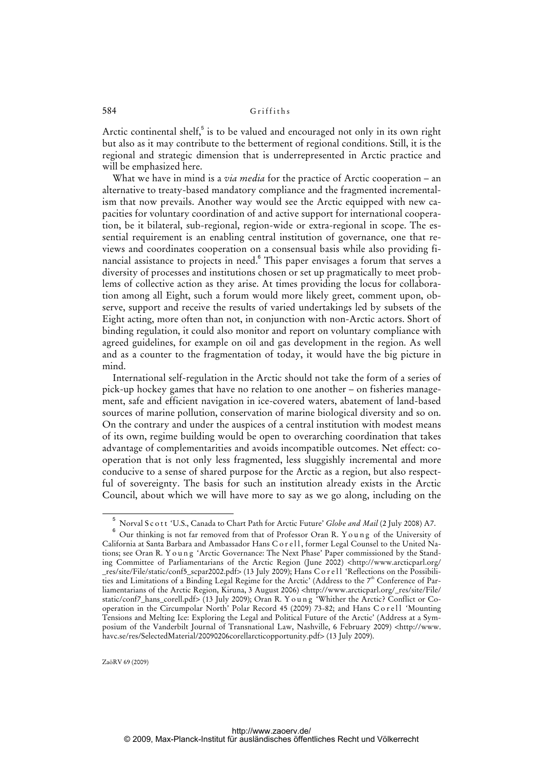Arctic continental shelf,<sup>5</sup> is to be valued and encouraged not only in its own right but also as it may contribute to the betterment of regional conditions. Still, it is the regional and strategic dimension that is underrepresented in Arctic practice and will be emphasized here.

What we have in mind is a *via media* for the practice of Arctic cooperation – an alternative to treaty-based mandatory compliance and the fragmented incrementalism that now prevails. Another way would see the Arctic equipped with new capacities for voluntary coordination of and active support for international cooperation, be it bilateral, sub-regional, region-wide or extra-regional in scope. The essential requirement is an enabling central institution of governance, one that reviews and coordinates cooperation on a consensual basis while also providing financial assistance to projects in need.<sup>6</sup> This paper envisages a forum that serves a diversity of processes and institutions chosen or set up pragmatically to meet problems of collective action as they arise. At times providing the locus for collaboration among all Eight, such a forum would more likely greet, comment upon, observe, support and receive the results of varied undertakings led by subsets of the Eight acting, more often than not, in conjunction with non-Arctic actors. Short of binding regulation, it could also monitor and report on voluntary compliance with agreed guidelines, for example on oil and gas development in the region. As well and as a counter to the fragmentation of today, it would have the big picture in mind.

International self-regulation in the Arctic should not take the form of a series of pick-up hockey games that have no relation to one another – on fisheries management, safe and efficient navigation in ice-covered waters, abatement of land-based sources of marine pollution, conservation of marine biological diversity and so on. On the contrary and under the auspices of a central institution with modest means of its own, regime building would be open to overarching coordination that takes advantage of complementarities and avoids incompatible outcomes. Net effect: cooperation that is not only less fragmented, less sluggishly incremental and more conducive to a sense of shared purpose for the Arctic as a region, but also respectful of sovereignty. The basis for such an institution already exists in the Arctic Council, about which we will have more to say as we go along, including on the

<sup>&</sup>lt;sup>5</sup> Norval S c o t t 'U.S., Canada to Chart Path for Arctic Future' *Globe and Mail* (2 July 2008) A7.

Our thinking is not far removed from that of Professor Oran R. Young of the University of California at Santa Barbara and Ambassador Hans C o r ell, former Legal Counsel to the United Nations; see Oran R. Y o u n g 'Arctic Governance: The Next Phase' Paper commissioned by the Standing Committee of Parliamentarians of the Arctic Region (June 2002) <<http://www.arcticparl.org/> \_res/site/File/static/conf5\_scpar2002.pdf> (13 July 2009); Hans C o r e l l 'Reflections on the Possibilities and Limitations of a Binding Legal Regime for the Arctic' (Address to the 7th Conference of Parliamentarians of the Arctic Region, Kiruna, 3 August 2006) [<http://www.arcticparl.org/\\_res/site/File/](http://www.arcticparl.org/_res/site/File/) static/conf7\_hans\_corell.pdf> (13 July 2009); Oran R. Y o u n g 'Whither the Arctic? Conflict or Cooperation in the Circumpolar North' Polar Record 45 (2009) 73-82; and Hans Corell 'Mounting Tensions and Melting Ice: Exploring the Legal and Political Future of the Arctic' (Address at a Symposium of the Vanderbilt Journal of Transnational Law, Nashville, 6 February 2009) <[http://www.](http://www) havc.se/res/SelectedMaterial/20090206corellarcticopportunity.pdf> (13 July 2009).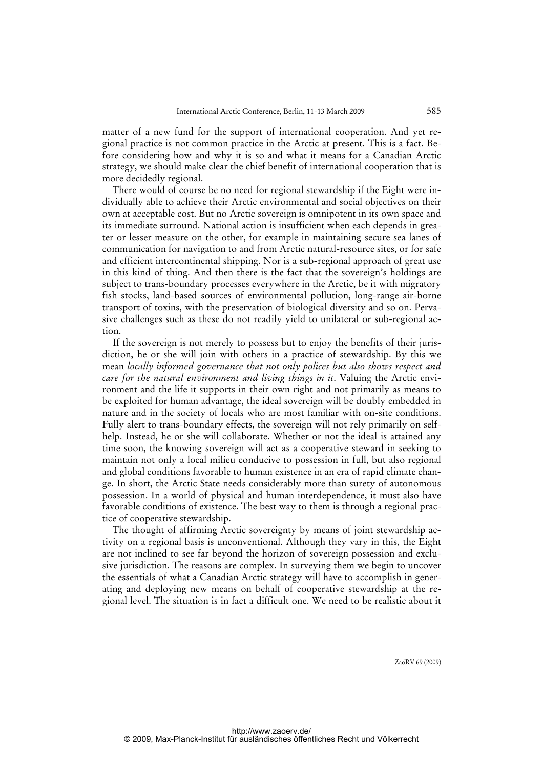matter of a new fund for the support of international cooperation. And yet regional practice is not common practice in the Arctic at present. This is a fact. Before considering how and why it is so and what it means for a Canadian Arctic strategy, we should make clear the chief benefit of international cooperation that is more decidedly regional.

There would of course be no need for regional stewardship if the Eight were individually able to achieve their Arctic environmental and social objectives on their own at acceptable cost. But no Arctic sovereign is omnipotent in its own space and its immediate surround. National action is insufficient when each depends in greater or lesser measure on the other, for example in maintaining secure sea lanes of communication for navigation to and from Arctic natural-resource sites, or for safe and efficient intercontinental shipping. Nor is a sub-regional approach of great use in this kind of thing. And then there is the fact that the sovereign's holdings are subject to trans-boundary processes everywhere in the Arctic, be it with migratory fish stocks, land-based sources of environmental pollution, long-range air-borne transport of toxins, with the preservation of biological diversity and so on. Pervasive challenges such as these do not readily yield to unilateral or sub-regional action.

If the sovereign is not merely to possess but to enjoy the benefits of their jurisdiction, he or she will join with others in a practice of stewardship. By this we mean *locally informed governance that not only polices but also shows respect and care for the natural environment and living things in it*. Valuing the Arctic environment and the life it supports in their own right and not primarily as means to be exploited for human advantage, the ideal sovereign will be doubly embedded in nature and in the society of locals who are most familiar with on-site conditions. Fully alert to trans-boundary effects, the sovereign will not rely primarily on selfhelp. Instead, he or she will collaborate. Whether or not the ideal is attained any time soon, the knowing sovereign will act as a cooperative steward in seeking to maintain not only a local milieu conducive to possession in full, but also regional and global conditions favorable to human existence in an era of rapid climate change. In short, the Arctic State needs considerably more than surety of autonomous possession. In a world of physical and human interdependence, it must also have favorable conditions of existence. The best way to them is through a regional practice of cooperative stewardship.

The thought of affirming Arctic sovereignty by means of joint stewardship activity on a regional basis is unconventional. Although they vary in this, the Eight are not inclined to see far beyond the horizon of sovereign possession and exclusive jurisdiction. The reasons are complex. In surveying them we begin to uncover the essentials of what a Canadian Arctic strategy will have to accomplish in generating and deploying new means on behalf of cooperative stewardship at the regional level. The situation is in fact a difficult one. We need to be realistic about it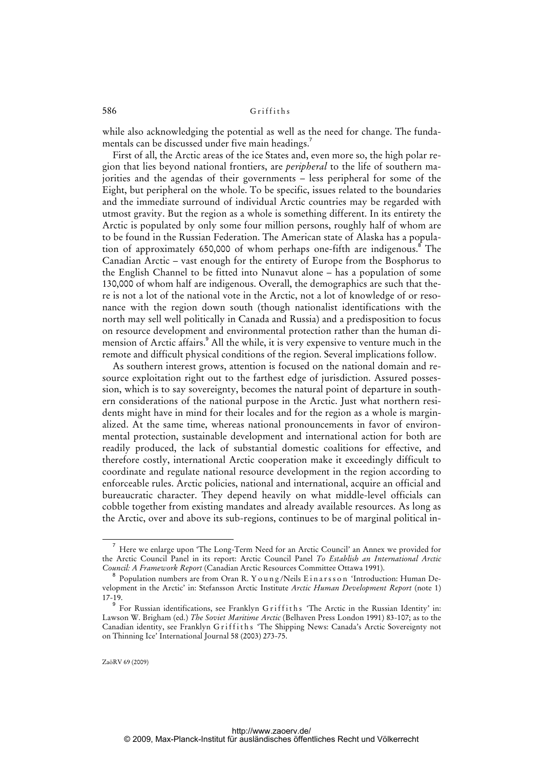while also acknowledging the potential as well as the need for change. The fundamentals can be discussed under five main headings.<sup>7</sup>

First of all, the Arctic areas of the ice States and, even more so, the high polar region that lies beyond national frontiers, are *peripheral* to the life of southern majorities and the agendas of their governments – less peripheral for some of the Eight, but peripheral on the whole. To be specific, issues related to the boundaries and the immediate surround of individual Arctic countries may be regarded with utmost gravity. But the region as a whole is something different. In its entirety the Arctic is populated by only some four million persons, roughly half of whom are to be found in the Russian Federation. The American state of Alaska has a population of approximately 650,000 of whom perhaps one-fifth are indigenous.<sup>8</sup> The Canadian Arctic – vast enough for the entirety of Europe from the Bosphorus to the English Channel to be fitted into Nunavut alone – has a population of some 130,000 of whom half are indigenous. Overall, the demographics are such that there is not a lot of the national vote in the Arctic, not a lot of knowledge of or resonance with the region down south (though nationalist identifications with the north may sell well politically in Canada and Russia) and a predisposition to focus on resource development and environmental protection rather than the human dimension of Arctic affairs.<sup>9</sup> All the while, it is very expensive to venture much in the remote and difficult physical conditions of the region. Several implications follow.

As southern interest grows, attention is focused on the national domain and resource exploitation right out to the farthest edge of jurisdiction. Assured possession, which is to say sovereignty, becomes the natural point of departure in southern considerations of the national purpose in the Arctic. Just what northern residents might have in mind for their locales and for the region as a whole is marginalized. At the same time, whereas national pronouncements in favor of environmental protection, sustainable development and international action for both are readily produced, the lack of substantial domestic coalitions for effective, and therefore costly, international Arctic cooperation make it exceedingly difficult to coordinate and regulate national resource development in the region according to enforceable rules. Arctic policies, national and international, acquire an official and bureaucratic character. They depend heavily on what middle-level officials can cobble together from existing mandates and already available resources. As long as the Arctic, over and above its sub-regions, continues to be of marginal political in-

<sup>7</sup> Here we enlarge upon 'The Long-Term Need for an Arctic Council' an Annex we provided for the Arctic Council Panel in its report: Arctic Council Panel *To Establish an International Arctic Council: A Framework Report* (Canadian Arctic Resources Committee Ottawa 1991).

 $^{\rm 8}$  Population numbers are from Oran R. Y o u n g /Neils E i n a r s s o n 'Introduction: Human Development in the Arctic' in: Stefansson Arctic Institute *Arctic Human Development Report* (note 1) 17-19.

<sup>9</sup> For Russian identifications, see Franklyn Griffiths 'The Arctic in the Russian Identity' in: Lawson W. Brigham (ed.) *The Soviet Maritime Arctic* (Belhaven Press London 1991) 83-107; as to the Canadian identity, see Franklyn Griffiths 'The Shipping News: Canada's Arctic Sovereignty not on Thinning Ice' International Journal 58 (2003) 273-75.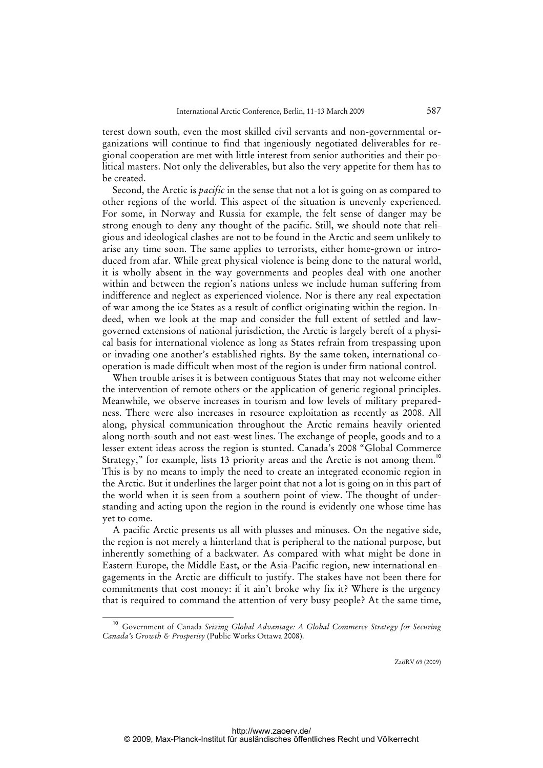terest down south, even the most skilled civil servants and non-governmental organizations will continue to find that ingeniously negotiated deliverables for regional cooperation are met with little interest from senior authorities and their political masters. Not only the deliverables, but also the very appetite for them has to be created.

Second, the Arctic is *pacific* in the sense that not a lot is going on as compared to other regions of the world. This aspect of the situation is unevenly experienced. For some, in Norway and Russia for example, the felt sense of danger may be strong enough to deny any thought of the pacific. Still, we should note that religious and ideological clashes are not to be found in the Arctic and seem unlikely to arise any time soon. The same applies to terrorists, either home-grown or introduced from afar. While great physical violence is being done to the natural world, it is wholly absent in the way governments and peoples deal with one another within and between the region's nations unless we include human suffering from indifference and neglect as experienced violence. Nor is there any real expectation of war among the ice States as a result of conflict originating within the region. Indeed, when we look at the map and consider the full extent of settled and lawgoverned extensions of national jurisdiction, the Arctic is largely bereft of a physical basis for international violence as long as States refrain from trespassing upon or invading one another's established rights. By the same token, international cooperation is made difficult when most of the region is under firm national control.

When trouble arises it is between contiguous States that may not welcome either the intervention of remote others or the application of generic regional principles. Meanwhile, we observe increases in tourism and low levels of military preparedness. There were also increases in resource exploitation as recently as 2008. All along, physical communication throughout the Arctic remains heavily oriented along north-south and not east-west lines. The exchange of people, goods and to a lesser extent ideas across the region is stunted. Canada's 2008 "Global Commerce Strategy," for example, lists 13 priority areas and the Arctic is not among them.<sup>10</sup> This is by no means to imply the need to create an integrated economic region in the Arctic. But it underlines the larger point that not a lot is going on in this part of the world when it is seen from a southern point of view. The thought of understanding and acting upon the region in the round is evidently one whose time has yet to come.

A pacific Arctic presents us all with plusses and minuses. On the negative side, the region is not merely a hinterland that is peripheral to the national purpose, but inherently something of a backwater. As compared with what might be done in Eastern Europe, the Middle East, or the Asia-Pacific region, new international engagements in the Arctic are difficult to justify. The stakes have not been there for commitments that cost money: if it ain't broke why fix it? Where is the urgency that is required to command the attention of very busy people? At the same time,

<sup>10</sup> Government of Canada *Seizing Global Advantage: A Global Commerce Strategy for Securing Canada's Growth & Prosperity* (Public Works Ottawa 2008).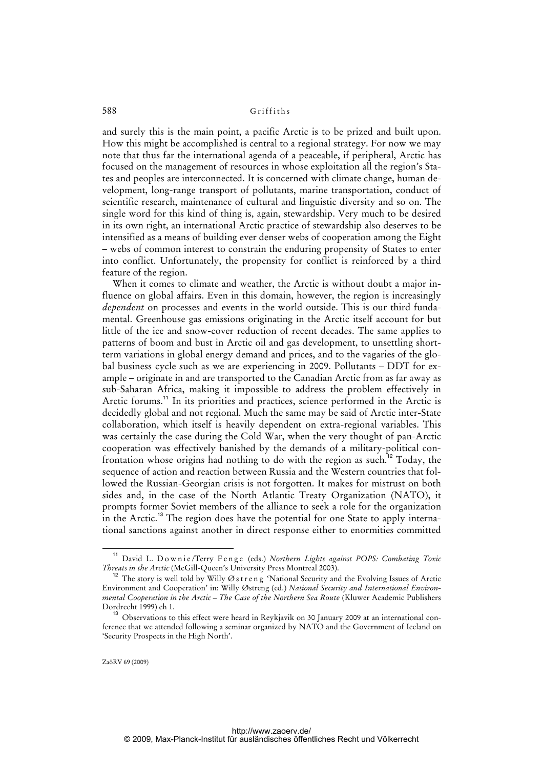and surely this is the main point, a pacific Arctic is to be prized and built upon. How this might be accomplished is central to a regional strategy. For now we may note that thus far the international agenda of a peaceable, if peripheral, Arctic has focused on the management of resources in whose exploitation all the region's States and peoples are interconnected. It is concerned with climate change, human development, long-range transport of pollutants, marine transportation, conduct of scientific research, maintenance of cultural and linguistic diversity and so on. The single word for this kind of thing is, again, stewardship. Very much to be desired in its own right, an international Arctic practice of stewardship also deserves to be intensified as a means of building ever denser webs of cooperation among the Eight – webs of common interest to constrain the enduring propensity of States to enter into conflict. Unfortunately, the propensity for conflict is reinforced by a third feature of the region.

When it comes to climate and weather, the Arctic is without doubt a major influence on global affairs. Even in this domain, however, the region is increasingly *dependent* on processes and events in the world outside. This is our third fundamental. Greenhouse gas emissions originating in the Arctic itself account for but little of the ice and snow-cover reduction of recent decades. The same applies to patterns of boom and bust in Arctic oil and gas development, to unsettling shortterm variations in global energy demand and prices, and to the vagaries of the global business cycle such as we are experiencing in 2009. Pollutants – DDT for example – originate in and are transported to the Canadian Arctic from as far away as sub-Saharan Africa, making it impossible to address the problem effectively in Arctic forums.<sup>11</sup> In its priorities and practices, science performed in the Arctic is decidedly global and not regional. Much the same may be said of Arctic inter-State collaboration, which itself is heavily dependent on extra-regional variables. This was certainly the case during the Cold War, when the very thought of pan-Arctic cooperation was effectively banished by the demands of a military-political confrontation whose origins had nothing to do with the region as such.<sup>12</sup> Today, the sequence of action and reaction between Russia and the Western countries that followed the Russian-Georgian crisis is not forgotten. It makes for mistrust on both sides and, in the case of the North Atlantic Treaty Organization (NATO), it prompts former Soviet members of the alliance to seek a role for the organization in the Arctic.<sup>13</sup> The region does have the potential for one State to apply international sanctions against another in direct response either to enormities committed

<sup>&</sup>lt;sup>11</sup> David L. Downie/Terry Fenge (eds.) *Northern Lights against POPS: Combating Toxic Threats in the Arctic* (McGill-Queen's University Press Montreal 2003).

<sup>&</sup>lt;sup>12</sup> The story is well told by Willy Ø streng 'National Security and the Evolving Issues of Arctic Environment and Cooperation' in: Willy Østreng (ed.) *National Security and International Environmental Cooperation in the Arctic – The Case of the Northern Sea Route* (Kluwer Academic Publishers Dordrecht 1999) ch 1.

<sup>&</sup>lt;sup>13</sup> Observations to this effect were heard in Reykjavik on 30 January 2009 at an international conference that we attended following a seminar organized by NATO and the Government of Iceland on 'Security Prospects in the High North'.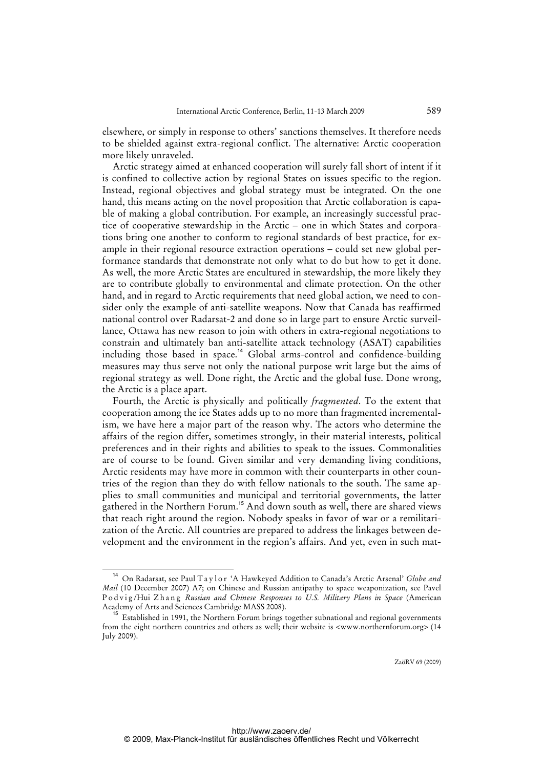elsewhere, or simply in response to others' sanctions themselves. It therefore needs to be shielded against extra-regional conflict. The alternative: Arctic cooperation more likely unraveled.

Arctic strategy aimed at enhanced cooperation will surely fall short of intent if it is confined to collective action by regional States on issues specific to the region. Instead, regional objectives and global strategy must be integrated. On the one hand, this means acting on the novel proposition that Arctic collaboration is capable of making a global contribution. For example, an increasingly successful practice of cooperative stewardship in the Arctic – one in which States and corporations bring one another to conform to regional standards of best practice, for example in their regional resource extraction operations – could set new global performance standards that demonstrate not only what to do but how to get it done. As well, the more Arctic States are encultured in stewardship, the more likely they are to contribute globally to environmental and climate protection. On the other hand, and in regard to Arctic requirements that need global action, we need to consider only the example of anti-satellite weapons. Now that Canada has reaffirmed national control over Radarsat-2 and done so in large part to ensure Arctic surveillance, Ottawa has new reason to join with others in extra-regional negotiations to constrain and ultimately ban anti-satellite attack technology (ASAT) capabilities including those based in space.<sup>14</sup> Global arms-control and confidence-building measures may thus serve not only the national purpose writ large but the aims of regional strategy as well. Done right, the Arctic and the global fuse. Done wrong, the Arctic is a place apart.

Fourth, the Arctic is physically and politically *fragmented*. To the extent that cooperation among the ice States adds up to no more than fragmented incrementalism, we have here a major part of the reason why. The actors who determine the affairs of the region differ, sometimes strongly, in their material interests, political preferences and in their rights and abilities to speak to the issues. Commonalities are of course to be found. Given similar and very demanding living conditions, Arctic residents may have more in common with their counterparts in other countries of the region than they do with fellow nationals to the south. The same applies to small communities and municipal and territorial governments, the latter gathered in the Northern Forum.<sup>15</sup> And down south as well, there are shared views that reach right around the region. Nobody speaks in favor of war or a remilitarization of the Arctic. All countries are prepared to address the linkages between development and the environment in the region's affairs. And yet, even in such mat-

<sup>14</sup> On Radarsat, see Paul T a y l o r 'A Hawkeyed Addition to Canada's Arctic Arsenal' *Globe and Mail* (10 December 2007) A7; on Chinese and Russian antipathy to space weaponization, see Pavel Podvig/Hui Zhang Russian and Chinese Responses to U.S. Military Plans in Space (American Academy of Arts and Sciences Cambridge MASS 2008).

<sup>&</sup>lt;sup>15</sup> Established in 1991, the Northern Forum brings together subnational and regional governments from the eight northern countries and others as well; their website is <www.northernforum.org> (14 July 2009).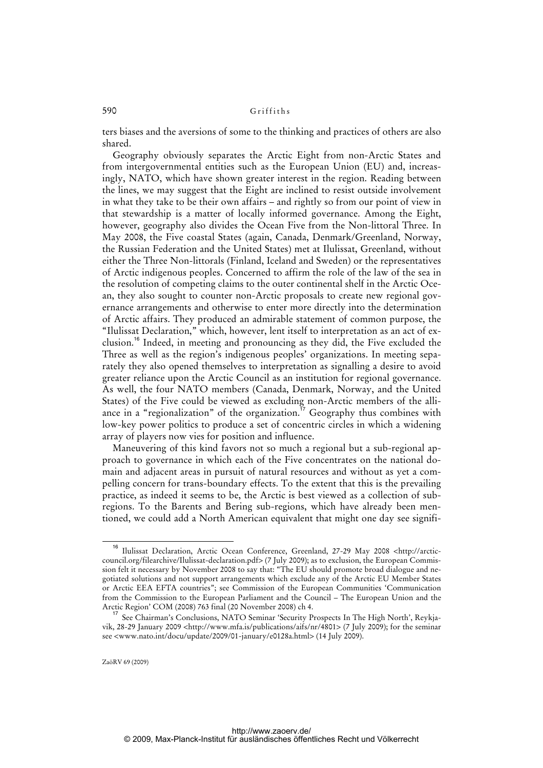ters biases and the aversions of some to the thinking and practices of others are also shared.

Geography obviously separates the Arctic Eight from non-Arctic States and from intergovernmental entities such as the European Union (EU) and, increasingly, NATO, which have shown greater interest in the region. Reading between the lines, we may suggest that the Eight are inclined to resist outside involvement in what they take to be their own affairs – and rightly so from our point of view in that stewardship is a matter of locally informed governance. Among the Eight, however, geography also divides the Ocean Five from the Non-littoral Three. In May 2008, the Five coastal States (again, Canada, Denmark/Greenland, Norway, the Russian Federation and the United States) met at Ilulissat, Greenland, without either the Three Non-littorals (Finland, Iceland and Sweden) or the representatives of Arctic indigenous peoples. Concerned to affirm the role of the law of the sea in the resolution of competing claims to the outer continental shelf in the Arctic Ocean, they also sought to counter non-Arctic proposals to create new regional governance arrangements and otherwise to enter more directly into the determination of Arctic affairs. They produced an admirable statement of common purpose, the "Ilulissat Declaration," which, however, lent itself to interpretation as an act of exclusion.<sup>16</sup> Indeed, in meeting and pronouncing as they did, the Five excluded the Three as well as the region's indigenous peoples' organizations. In meeting separately they also opened themselves to interpretation as signalling a desire to avoid greater reliance upon the Arctic Council as an institution for regional governance. As well, the four NATO members (Canada, Denmark, Norway, and the United States) of the Five could be viewed as excluding non-Arctic members of the alliance in a "regionalization" of the organization.<sup>17</sup> Geography thus combines with low-key power politics to produce a set of concentric circles in which a widening array of players now vies for position and influence.

Maneuvering of this kind favors not so much a regional but a sub-regional approach to governance in which each of the Five concentrates on the national domain and adjacent areas in pursuit of natural resources and without as yet a compelling concern for trans-boundary effects. To the extent that this is the prevailing practice, as indeed it seems to be, the Arctic is best viewed as a collection of subregions. To the Barents and Bering sub-regions, which have already been mentioned, we could add a North American equivalent that might one day see signifi-

<sup>16</sup> Ilulissat Declaration, Arctic Ocean Conference, Greenland, 27-29 May 2008 <http://arctic[council.org/filearchive/Ilulissat-declaration.pdf> \(7 July 2009\); as to exclusion, the European Commis](http://arctic-council)sion felt it necessary by November 2008 to say that: "The EU should promote broad dialogue and negotiated solutions and not support arrangements which exclude any of the Arctic EU Member States or Arctic EEA EFTA countries"; see Commission of the European Communities 'Communication from the Commission to the European Parliament and the Council – The European Union and the Arctic Region' COM (2008) 763 final (20 November 2008) ch 4.

<sup>&</sup>lt;sup>17</sup> See Chairman's Conclusions, NATO Seminar 'Security Prospects In The High North', Reykja-vik, 28-29 January 2009 [<http://www.mfa.is/publications/aifs/nr/4801>](http://www.mfa.is/publications/aifs/nr/4801) (7 July 2009); for the seminar see <www.nato.int/docu/update/2009/01-january/e0128a.html> (14 July 2009).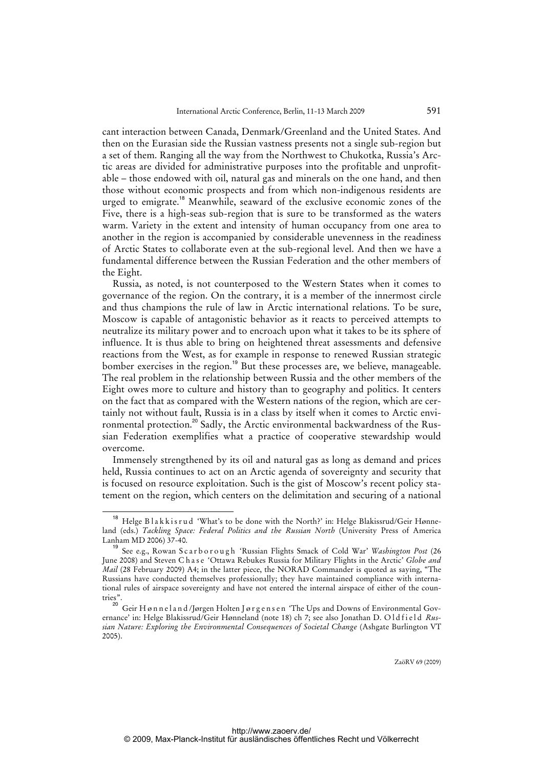cant interaction between Canada, Denmark/Greenland and the United States. And then on the Eurasian side the Russian vastness presents not a single sub-region but a set of them. Ranging all the way from the Northwest to Chukotka, Russia's Arctic areas are divided for administrative purposes into the profitable and unprofitable – those endowed with oil, natural gas and minerals on the one hand, and then those without economic prospects and from which non-indigenous residents are urged to emigrate.<sup>18</sup> Meanwhile, seaward of the exclusive economic zones of the Five, there is a high-seas sub-region that is sure to be transformed as the waters warm. Variety in the extent and intensity of human occupancy from one area to another in the region is accompanied by considerable unevenness in the readiness of Arctic States to collaborate even at the sub-regional level. And then we have a fundamental difference between the Russian Federation and the other members of the Eight.

Russia, as noted, is not counterposed to the Western States when it comes to governance of the region. On the contrary, it is a member of the innermost circle and thus champions the rule of law in Arctic international relations. To be sure, Moscow is capable of antagonistic behavior as it reacts to perceived attempts to neutralize its military power and to encroach upon what it takes to be its sphere of influence. It is thus able to bring on heightened threat assessments and defensive reactions from the West, as for example in response to renewed Russian strategic bomber exercises in the region.<sup>19</sup> But these processes are, we believe, manageable. The real problem in the relationship between Russia and the other members of the Eight owes more to culture and history than to geography and politics. It centers on the fact that as compared with the Western nations of the region, which are certainly not without fault, Russia is in a class by itself when it comes to Arctic environmental protection.<sup>20</sup> Sadly, the Arctic environmental backwardness of the Russian Federation exemplifies what a practice of cooperative stewardship would overcome.

Immensely strengthened by its oil and natural gas as long as demand and prices held, Russia continues to act on an Arctic agenda of sovereignty and security that is focused on resource exploitation. Such is the gist of Moscow's recent policy statement on the region, which centers on the delimitation and securing of a national

<sup>18</sup> Helge B l a k k i s r u d 'What's to be done with the North?' in: Helge Blakissrud/Geir Hønneland (eds.) *Tackling Space: Federal Politics and the Russian North* (University Press of America Lanham MD 2006) 37-40.

<sup>19</sup> See e.g., Rowan S c a r b o r o u g h 'Russian Flights Smack of Cold War' *Washington Post* (26 June 2008) and Steven C h a s e 'Ottawa Rebukes Russia for Military Flights in the Arctic' *Globe and Mail* (28 February 2009) A4; in the latter piece, the NORAD Commander is quoted as saying, "The Russians have conducted themselves professionally; they have maintained compliance with international rules of airspace sovereignty and have not entered the internal airspace of either of the countries".

es<br><sup>20</sup> Geir Hønnel and /Jørgen Holten Jørgens en 'The Ups and Downs of Environmental Governance' in: Helge Blakissrud/Geir Hønneland (note 18) ch 7; see also Jonathan D. Oldfield Rus*sian Nature: Exploring the Environmental Consequences of Societal Change* (Ashgate Burlington VT 2005).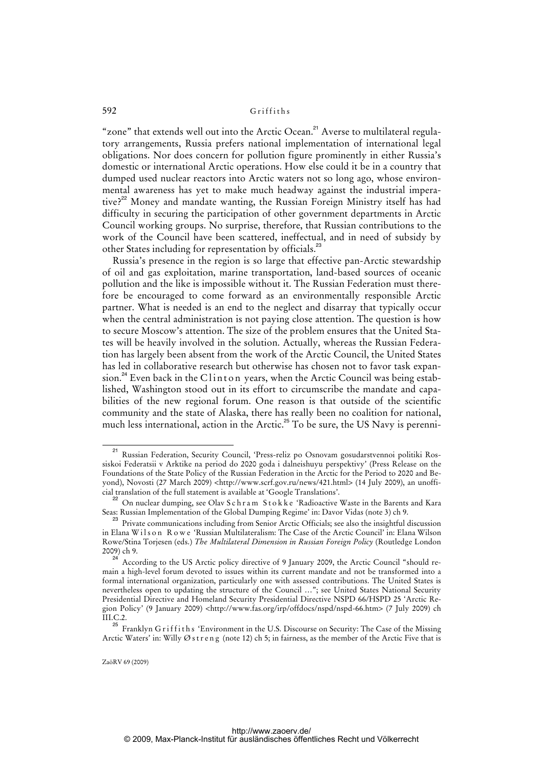"zone" that extends well out into the Arctic Ocean.<sup>21</sup> Averse to multilateral regulatory arrangements, Russia prefers national implementation of international legal obligations. Nor does concern for pollution figure prominently in either Russia's domestic or international Arctic operations. How else could it be in a country that dumped used nuclear reactors into Arctic waters not so long ago, whose environmental awareness has yet to make much headway against the industrial imperative?<sup>22</sup> Money and mandate wanting, the Russian Foreign Ministry itself has had difficulty in securing the participation of other government departments in Arctic Council working groups. No surprise, therefore, that Russian contributions to the work of the Council have been scattered, ineffectual, and in need of subsidy by other States including for representation by officials.<sup>23</sup>

Russia's presence in the region is so large that effective pan-Arctic stewardship of oil and gas exploitation, marine transportation, land-based sources of oceanic pollution and the like is impossible without it. The Russian Federation must therefore be encouraged to come forward as an environmentally responsible Arctic partner. What is needed is an end to the neglect and disarray that typically occur when the central administration is not paying close attention. The question is how to secure Moscow's attention. The size of the problem ensures that the United States will be heavily involved in the solution. Actually, whereas the Russian Federation has largely been absent from the work of the Arctic Council, the United States has led in collaborative research but otherwise has chosen not to favor task expansion.<sup>24</sup> Even back in the C $\lim_{x \to a} \frac{1}{x}$  wears, when the Arctic Council was being established, Washington stood out in its effort to circumscribe the mandate and capabilities of the new regional forum. One reason is that outside of the scientific community and the state of Alaska, there has really been no coalition for national, much less international, action in the Arctic.<sup>25</sup> To be sure, the US Navy is perenni-

<sup>21</sup> Russian Federation, Security Council, 'Press-reliz po Osnovam gosudarstvennoi politiki Rossiskoi Federatsii v Arktike na period do 2020 goda i dalneishuyu perspektivy' (Press Release on the Foundations of the State Policy of the Russian Federation in the Arctic for the Period to 2020 and Beyond), Novosti (27 March 2009) <[http://www.scrf.gov.ru/news/421.html>](http://www.scrf.gov.ru/news/421.html) (14 July 2009), an unofficial translation of the full statement is available at 'Google Translations'.

<sup>&</sup>lt;sup>22</sup> On nuclear dumping, see Olav S c h r a m S t o k k e 'Radioactive Waste in the Barents and Kara Seas: Russian Implementation of the Global Dumping Regime' in: Davor Vidas (note 3) ch 9.

<sup>&</sup>lt;sup>23</sup> Private communications including from Senior Arctic Officials; see also the insightful discussion in Elana Wilson Rowe 'Russian Multilateralism: The Case of the Arctic Council' in: Elana Wilson Rowe/Stina Torjesen (eds.) *The Multilateral Dimension in Russian Foreign Policy* (Routledge London 2009) ch 9.

According to the US Arctic policy directive of 9 January 2009, the Arctic Council "should remain a high-level forum devoted to issues within its current mandate and not be transformed into a formal international organization, particularly one with assessed contributions. The United States is nevertheless open to updating the structure of the Council …"; see United States National Security Presidential Directive and Homeland Security Presidential Directive NSPD 66/HSPD 25 'Arctic Region Policy' (9 January 2009) [<http://www.fas.org/irp/offdocs/nspd/nspd-66.htm>](http://www.fas.org/irp/offdocs/nspd/nspd-66.htm) (7 July 2009) ch  $\text{III}$ .C.2.

 $^{25}$  Franklyn Griffiths 'Environment in the U.S. Discourse on Security: The Case of the Missing Arctic Waters' in: Willy Ø s t r e n g (note 12) ch 5; in fairness, as the member of the Arctic Five that is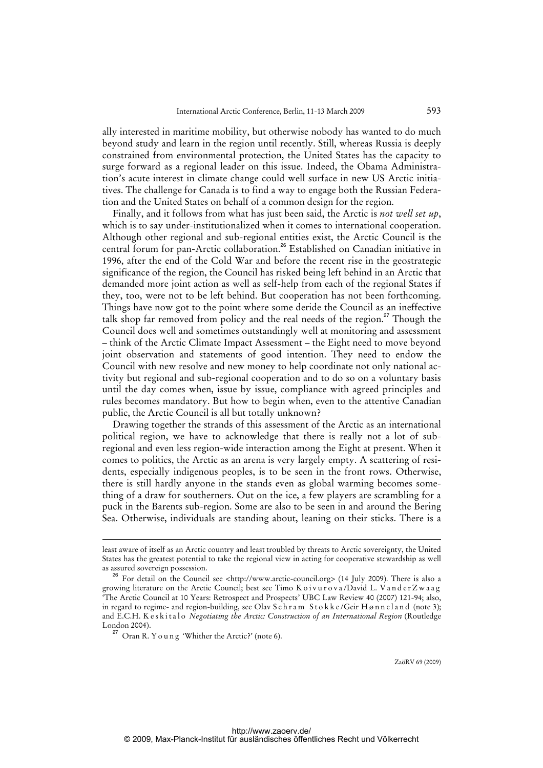ally interested in maritime mobility, but otherwise nobody has wanted to do much beyond study and learn in the region until recently. Still, whereas Russia is deeply constrained from environmental protection, the United States has the capacity to surge forward as a regional leader on this issue. Indeed, the Obama Administration's acute interest in climate change could well surface in new US Arctic initiatives. The challenge for Canada is to find a way to engage both the Russian Federation and the United States on behalf of a common design for the region.

Finally, and it follows from what has just been said, the Arctic is *not well set up*, which is to say under-institutionalized when it comes to international cooperation. Although other regional and sub-regional entities exist, the Arctic Council is the central forum for pan-Arctic collaboration.<sup>26</sup> Established on Canadian initiative in 1996, after the end of the Cold War and before the recent rise in the geostrategic significance of the region, the Council has risked being left behind in an Arctic that demanded more joint action as well as self-help from each of the regional States if they, too, were not to be left behind. But cooperation has not been forthcoming. Things have now got to the point where some deride the Council as an ineffective talk shop far removed from policy and the real needs of the region.<sup>27</sup> Though the Council does well and sometimes outstandingly well at monitoring and assessment – think of the Arctic Climate Impact Assessment – the Eight need to move beyond joint observation and statements of good intention. They need to endow the Council with new resolve and new money to help coordinate not only national activity but regional and sub-regional cooperation and to do so on a voluntary basis until the day comes when, issue by issue, compliance with agreed principles and rules becomes mandatory. But how to begin when, even to the attentive Canadian public, the Arctic Council is all but totally unknown?

Drawing together the strands of this assessment of the Arctic as an international political region, we have to acknowledge that there is really not a lot of subregional and even less region-wide interaction among the Eight at present. When it comes to politics, the Arctic as an arena is very largely empty. A scattering of residents, especially indigenous peoples, is to be seen in the front rows. Otherwise, there is still hardly anyone in the stands even as global warming becomes something of a draw for southerners. Out on the ice, a few players are scrambling for a puck in the Barents sub-region. Some are also to be seen in and around the Bering Sea. Otherwise, individuals are standing about, leaning on their sticks. There is a

-

least aware of itself as an Arctic country and least troubled by threats to Arctic sovereignty, the United States has the greatest potential to take the regional view in acting for cooperative stewardship as well as assured sovereign possession.

<sup>26</sup> For detail on the Council see [<http://www.arctic-council.org>](http://www.arctic-council.org) (14 July 2009). There is also a growing literature on the Arctic Council; best see Timo K o i v u r o v a /David L. V a n d e r Z w a a g 'The Arctic Council at 10 Years: Retrospect and Prospects' UBC Law Review 40 (2007) 121-94; also, in regard to regime- and region-building, see Olav Schram Stokke/Geir Hønnel and (note 3); and E.C.H. K es kitalo *Negotiating the Arctic: Construction of an International Region* (Routledge London 2004).

 $27$  Oran R. Y o u n g 'Whither the Arctic?' (note 6).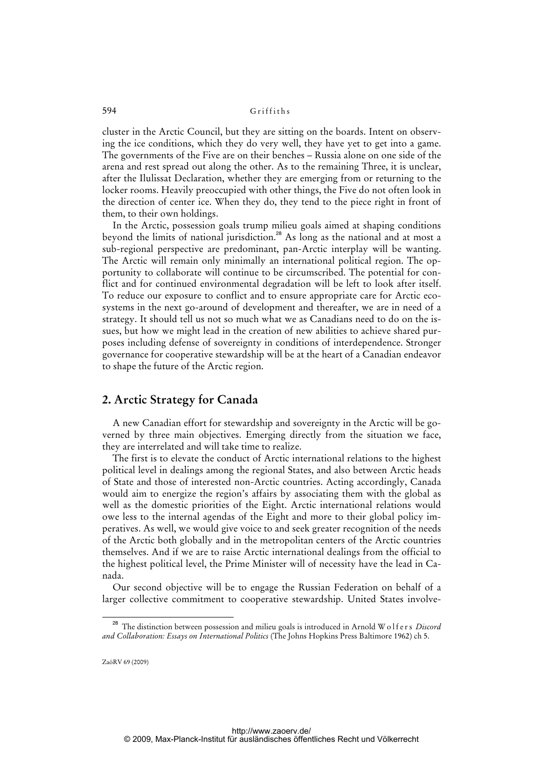cluster in the Arctic Council, but they are sitting on the boards. Intent on observing the ice conditions, which they do very well, they have yet to get into a game. The governments of the Five are on their benches – Russia alone on one side of the arena and rest spread out along the other. As to the remaining Three, it is unclear, after the Ilulissat Declaration, whether they are emerging from or returning to the locker rooms. Heavily preoccupied with other things, the Five do not often look in the direction of center ice. When they do, they tend to the piece right in front of them, to their own holdings.

In the Arctic, possession goals trump milieu goals aimed at shaping conditions beyond the limits of national jurisdiction.<sup>28</sup> As long as the national and at most a sub-regional perspective are predominant, pan-Arctic interplay will be wanting. The Arctic will remain only minimally an international political region. The opportunity to collaborate will continue to be circumscribed. The potential for conflict and for continued environmental degradation will be left to look after itself. To reduce our exposure to conflict and to ensure appropriate care for Arctic ecosystems in the next go-around of development and thereafter, we are in need of a strategy. It should tell us not so much what we as Canadians need to do on the issues, but how we might lead in the creation of new abilities to achieve shared purposes including defense of sovereignty in conditions of interdependence. Stronger governance for cooperative stewardship will be at the heart of a Canadian endeavor to shape the future of the Arctic region.

# **2. Arctic Strategy for Canada**

A new Canadian effort for stewardship and sovereignty in the Arctic will be governed by three main objectives. Emerging directly from the situation we face, they are interrelated and will take time to realize.

The first is to elevate the conduct of Arctic international relations to the highest political level in dealings among the regional States, and also between Arctic heads of State and those of interested non-Arctic countries. Acting accordingly, Canada would aim to energize the region's affairs by associating them with the global as well as the domestic priorities of the Eight. Arctic international relations would owe less to the internal agendas of the Eight and more to their global policy imperatives. As well, we would give voice to and seek greater recognition of the needs of the Arctic both globally and in the metropolitan centers of the Arctic countries themselves. And if we are to raise Arctic international dealings from the official to the highest political level, the Prime Minister will of necessity have the lead in Canada.

Our second objective will be to engage the Russian Federation on behalf of a larger collective commitment to cooperative stewardship. United States involve-

<sup>&</sup>lt;sup>28</sup> The distinction between possession and milieu goals is introduced in Arnold W o l f e r s *Discord and Collaboration: Essays on International Politics* (The Johns Hopkins Press Baltimore 1962) ch 5.

ZaöRV 69 (2009)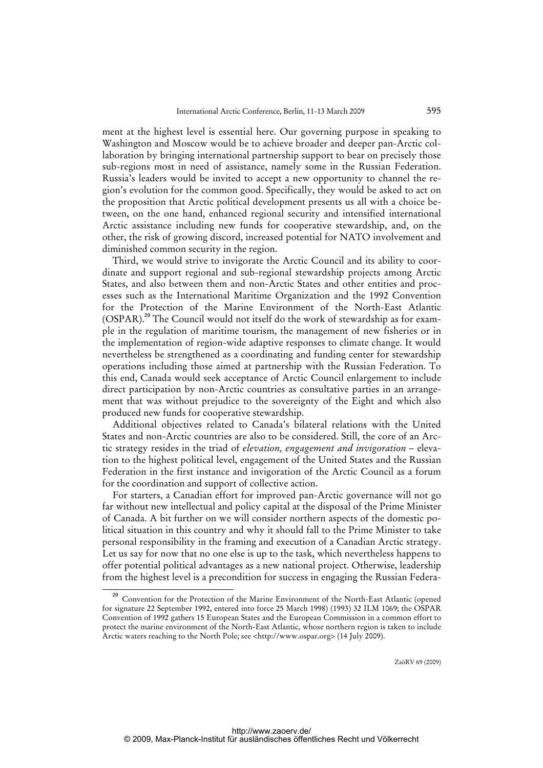ment at the highest level is essential here. Our governing purpose in speaking to Washington and Moscow would be to achieve broader and deeper pan-Arctic collaboration by bringing international partnership support to bear on precisely those sub-regions most in need of assistance, namely some in the Russian Federation. Russia's leaders would be invited to accept a new opportunity to channel the region's evolution for the common good. Specifically, they would be asked to act on the proposition that Arctic political development presents us all with a choice between, on the one hand, enhanced regional security and intensified international Arctic assistance including new funds for cooperative stewardship, and, on the other, the risk of growing discord, increased potential for NATO involvement and diminished common security in the region.

Third, we would strive to invigorate the Arctic Council and its ability to coordinate and support regional and sub-regional stewardship projects among Arctic States, and also between them and non-Arctic States and other entities and processes such as the International Maritime Organization and the 1992 Convention for the Protection of the Marine Environment of the North-East Atlantic (OSPAR).<sup>29</sup> The Council would not itself do the work of stewardship as for example in the regulation of maritime tourism, the management of new fisheries or in the implementation of region-wide adaptive responses to climate change. It would nevertheless be strengthened as a coordinating and funding center for stewardship operations including those aimed at partnership with the Russian Federation. To this end, Canada would seek acceptance of Arctic Council enlargement to include direct participation by non-Arctic countries as consultative parties in an arrangement that was without prejudice to the sovereignty of the Eight and which also produced new funds for cooperative stewardship.

Additional objectives related to Canada's bilateral relations with the United States and non-Arctic countries are also to be considered. Still, the core of an Arctic strategy resides in the triad of *elevation, engagement and invigoration* – elevation to the highest political level, engagement of the United States and the Russian Federation in the first instance and invigoration of the Arctic Council as a forum for the coordination and support of collective action.

For starters, a Canadian effort for improved pan-Arctic governance will not go far without new intellectual and policy capital at the disposal of the Prime Minister of Canada. A bit further on we will consider northern aspects of the domestic political situation in this country and why it should fall to the Prime Minister to take personal responsibility in the framing and execution of a Canadian Arctic strategy. Let us say for now that no one else is up to the task, which nevertheless happens to offer potential political advantages as a new national project. Otherwise, leadership from the highest level is a precondition for success in engaging the Russian Federa-

<sup>&</sup>lt;sup>29</sup> Convention for the Protection of the Marine Environment of the North-East Atlantic (opened for signature 22 September 1992, entered into force 25 March 1998) (1993) 32 ILM 1069; the OSPAR Convention of 1992 gathers 15 European States and the European Commission in a common effort to protect the marine environment of the North-East Atlantic, whose northern region is taken to include Arctic waters reaching to the North Pole; see [<http://www.ospar.org>](http://www.ospar.org) (14 July 2009).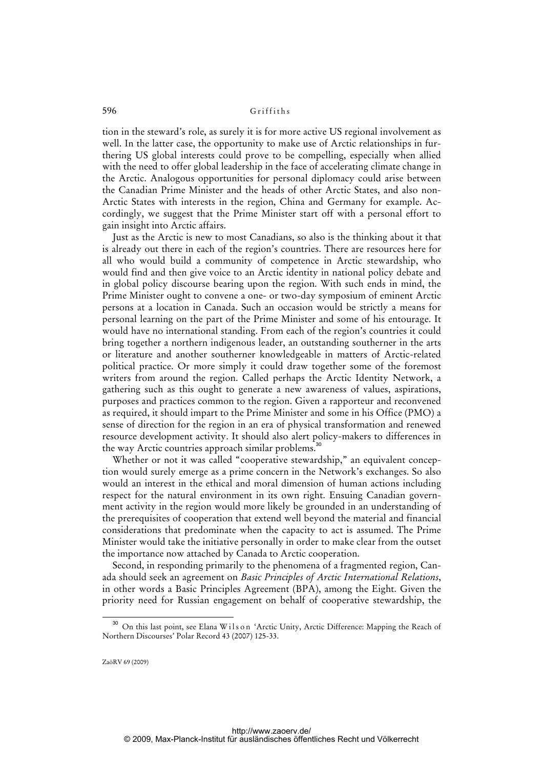tion in the steward's role, as surely it is for more active US regional involvement as well. In the latter case, the opportunity to make use of Arctic relationships in furthering US global interests could prove to be compelling, especially when allied with the need to offer global leadership in the face of accelerating climate change in the Arctic. Analogous opportunities for personal diplomacy could arise between the Canadian Prime Minister and the heads of other Arctic States, and also non-Arctic States with interests in the region, China and Germany for example. Accordingly, we suggest that the Prime Minister start off with a personal effort to gain insight into Arctic affairs.

Just as the Arctic is new to most Canadians, so also is the thinking about it that is already out there in each of the region's countries. There are resources here for all who would build a community of competence in Arctic stewardship, who would find and then give voice to an Arctic identity in national policy debate and in global policy discourse bearing upon the region. With such ends in mind, the Prime Minister ought to convene a one- or two-day symposium of eminent Arctic persons at a location in Canada. Such an occasion would be strictly a means for personal learning on the part of the Prime Minister and some of his entourage. It would have no international standing. From each of the region's countries it could bring together a northern indigenous leader, an outstanding southerner in the arts or literature and another southerner knowledgeable in matters of Arctic-related political practice. Or more simply it could draw together some of the foremost writers from around the region. Called perhaps the Arctic Identity Network, a gathering such as this ought to generate a new awareness of values, aspirations, purposes and practices common to the region. Given a rapporteur and reconvened as required, it should impart to the Prime Minister and some in his Office (PMO) a sense of direction for the region in an era of physical transformation and renewed resource development activity. It should also alert policy-makers to differences in the way Arctic countries approach similar problems.<sup>30</sup>

Whether or not it was called "cooperative stewardship," an equivalent conception would surely emerge as a prime concern in the Network's exchanges. So also would an interest in the ethical and moral dimension of human actions including respect for the natural environment in its own right. Ensuing Canadian government activity in the region would more likely be grounded in an understanding of the prerequisites of cooperation that extend well beyond the material and financial considerations that predominate when the capacity to act is assumed. The Prime Minister would take the initiative personally in order to make clear from the outset the importance now attached by Canada to Arctic cooperation.

Second, in responding primarily to the phenomena of a fragmented region, Canada should seek an agreement on *Basic Principles of Arctic International Relations*, in other words a Basic Principles Agreement (BPA), among the Eight. Given the priority need for Russian engagement on behalf of cooperative stewardship, the

<sup>&</sup>lt;sup>30</sup> On this last point, see Elana Wilson 'Arctic Unity, Arctic Difference: Mapping the Reach of Northern Discourses' Polar Record 43 (2007) 125-33.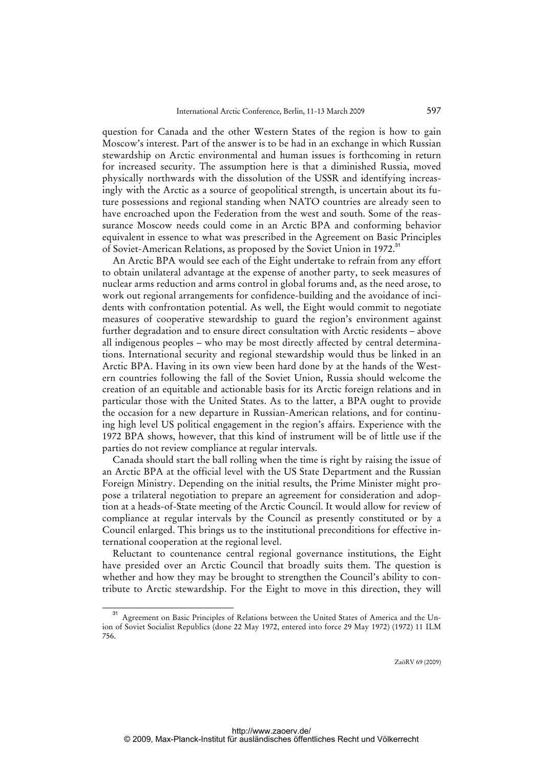question for Canada and the other Western States of the region is how to gain Moscow's interest. Part of the answer is to be had in an exchange in which Russian stewardship on Arctic environmental and human issues is forthcoming in return for increased security. The assumption here is that a diminished Russia, moved physically northwards with the dissolution of the USSR and identifying increasingly with the Arctic as a source of geopolitical strength, is uncertain about its future possessions and regional standing when NATO countries are already seen to have encroached upon the Federation from the west and south. Some of the reassurance Moscow needs could come in an Arctic BPA and conforming behavior equivalent in essence to what was prescribed in the Agreement on Basic Principles of Soviet-American Relations, as proposed by the Soviet Union in 1972.<sup>31</sup>

An Arctic BPA would see each of the Eight undertake to refrain from any effort to obtain unilateral advantage at the expense of another party, to seek measures of nuclear arms reduction and arms control in global forums and, as the need arose, to work out regional arrangements for confidence-building and the avoidance of incidents with confrontation potential. As well, the Eight would commit to negotiate measures of cooperative stewardship to guard the region's environment against further degradation and to ensure direct consultation with Arctic residents – above all indigenous peoples – who may be most directly affected by central determinations. International security and regional stewardship would thus be linked in an Arctic BPA. Having in its own view been hard done by at the hands of the Western countries following the fall of the Soviet Union, Russia should welcome the creation of an equitable and actionable basis for its Arctic foreign relations and in particular those with the United States. As to the latter, a BPA ought to provide the occasion for a new departure in Russian-American relations, and for continuing high level US political engagement in the region's affairs. Experience with the 1972 BPA shows, however, that this kind of instrument will be of little use if the parties do not review compliance at regular intervals.

Canada should start the ball rolling when the time is right by raising the issue of an Arctic BPA at the official level with the US State Department and the Russian Foreign Ministry. Depending on the initial results, the Prime Minister might propose a trilateral negotiation to prepare an agreement for consideration and adoption at a heads-of-State meeting of the Arctic Council. It would allow for review of compliance at regular intervals by the Council as presently constituted or by a Council enlarged. This brings us to the institutional preconditions for effective international cooperation at the regional level.

Reluctant to countenance central regional governance institutions, the Eight have presided over an Arctic Council that broadly suits them. The question is whether and how they may be brought to strengthen the Council's ability to contribute to Arctic stewardship. For the Eight to move in this direction, they will

<sup>31</sup> Agreement on Basic Principles of Relations between the United States of America and the Union of Soviet Socialist Republics (done 22 May 1972, entered into force 29 May 1972) (1972) 11 ILM 756.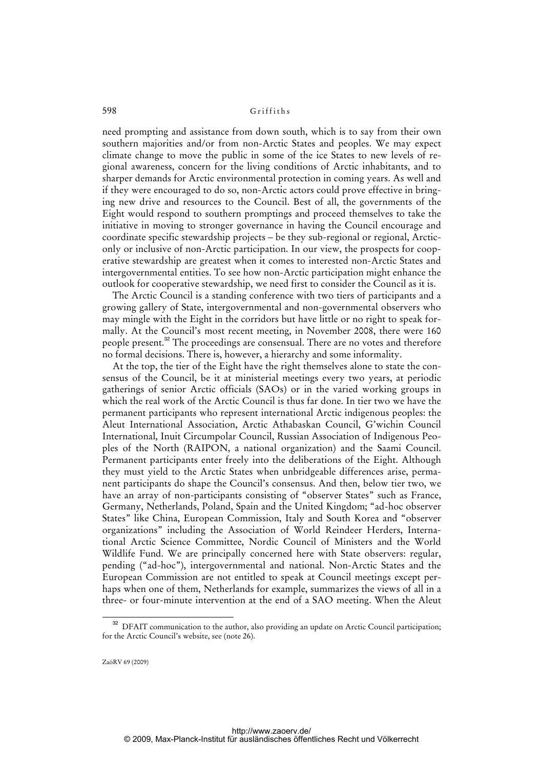need prompting and assistance from down south, which is to say from their own southern majorities and/or from non-Arctic States and peoples. We may expect climate change to move the public in some of the ice States to new levels of regional awareness, concern for the living conditions of Arctic inhabitants, and to sharper demands for Arctic environmental protection in coming years. As well and if they were encouraged to do so, non-Arctic actors could prove effective in bringing new drive and resources to the Council. Best of all, the governments of the Eight would respond to southern promptings and proceed themselves to take the initiative in moving to stronger governance in having the Council encourage and coordinate specific stewardship projects – be they sub-regional or regional, Arcticonly or inclusive of non-Arctic participation. In our view, the prospects for cooperative stewardship are greatest when it comes to interested non-Arctic States and intergovernmental entities. To see how non-Arctic participation might enhance the outlook for cooperative stewardship, we need first to consider the Council as it is.

The Arctic Council is a standing conference with two tiers of participants and a growing gallery of State, intergovernmental and non-governmental observers who may mingle with the Eight in the corridors but have little or no right to speak formally. At the Council's most recent meeting, in November 2008, there were 160 people present.<sup>32</sup> The proceedings are consensual. There are no votes and therefore no formal decisions. There is, however, a hierarchy and some informality.

At the top, the tier of the Eight have the right themselves alone to state the consensus of the Council, be it at ministerial meetings every two years, at periodic gatherings of senior Arctic officials (SAOs) or in the varied working groups in which the real work of the Arctic Council is thus far done. In tier two we have the permanent participants who represent international Arctic indigenous peoples: the Aleut International Association, Arctic Athabaskan Council, G'wichin Council International, Inuit Circumpolar Council, Russian Association of Indigenous Peoples of the North (RAIPON, a national organization) and the Saami Council. Permanent participants enter freely into the deliberations of the Eight. Although they must yield to the Arctic States when unbridgeable differences arise, permanent participants do shape the Council's consensus. And then, below tier two, we have an array of non-participants consisting of "observer States" such as France, Germany, Netherlands, Poland, Spain and the United Kingdom; "ad-hoc observer States" like China, European Commission, Italy and South Korea and "observer organizations" including the Association of World Reindeer Herders, International Arctic Science Committee, Nordic Council of Ministers and the World Wildlife Fund. We are principally concerned here with State observers: regular, pending ("ad-hoc"), intergovernmental and national. Non-Arctic States and the European Commission are not entitled to speak at Council meetings except perhaps when one of them, Netherlands for example, summarizes the views of all in a three- or four-minute intervention at the end of a SAO meeting. When the Aleut

© 2009, Max-Planck-Institut für ausländisches öffentliches Recht und Völkerrecht

<sup>&</sup>lt;sup>32</sup> DFAIT communication to the author, also providing an update on Arctic Council participation; for the Arctic Council's website, see (note 26).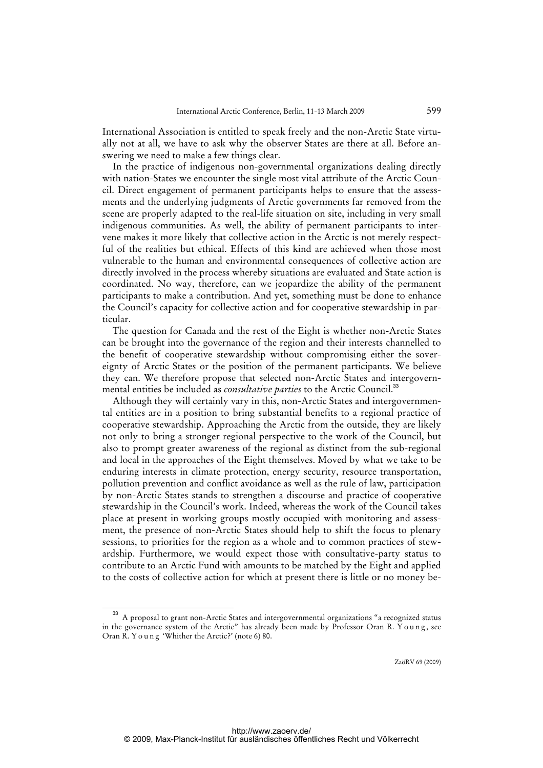International Association is entitled to speak freely and the non-Arctic State virtually not at all, we have to ask why the observer States are there at all. Before answering we need to make a few things clear.

In the practice of indigenous non-governmental organizations dealing directly with nation-States we encounter the single most vital attribute of the Arctic Council. Direct engagement of permanent participants helps to ensure that the assessments and the underlying judgments of Arctic governments far removed from the scene are properly adapted to the real-life situation on site, including in very small indigenous communities. As well, the ability of permanent participants to intervene makes it more likely that collective action in the Arctic is not merely respectful of the realities but ethical. Effects of this kind are achieved when those most vulnerable to the human and environmental consequences of collective action are directly involved in the process whereby situations are evaluated and State action is coordinated. No way, therefore, can we jeopardize the ability of the permanent participants to make a contribution. And yet, something must be done to enhance the Council's capacity for collective action and for cooperative stewardship in particular.

The question for Canada and the rest of the Eight is whether non-Arctic States can be brought into the governance of the region and their interests channelled to the benefit of cooperative stewardship without compromising either the sovereignty of Arctic States or the position of the permanent participants. We believe they can. We therefore propose that selected non-Arctic States and intergovernmental entities be included as *consultative parties* to the Arctic Council.<sup>33</sup>

Although they will certainly vary in this, non-Arctic States and intergovernmental entities are in a position to bring substantial benefits to a regional practice of cooperative stewardship. Approaching the Arctic from the outside, they are likely not only to bring a stronger regional perspective to the work of the Council, but also to prompt greater awareness of the regional as distinct from the sub-regional and local in the approaches of the Eight themselves. Moved by what we take to be enduring interests in climate protection, energy security, resource transportation, pollution prevention and conflict avoidance as well as the rule of law, participation by non-Arctic States stands to strengthen a discourse and practice of cooperative stewardship in the Council's work. Indeed, whereas the work of the Council takes place at present in working groups mostly occupied with monitoring and assessment, the presence of non-Arctic States should help to shift the focus to plenary sessions, to priorities for the region as a whole and to common practices of stewardship. Furthermore, we would expect those with consultative-party status to contribute to an Arctic Fund with amounts to be matched by the Eight and applied to the costs of collective action for which at present there is little or no money be-

<sup>33</sup> A proposal to grant non-Arctic States and intergovernmental organizations "a recognized status in the governance system of the Arctic" has already been made by Professor Oran R. Young, see Oran R. Young 'Whither the Arctic?' (note 6) 80.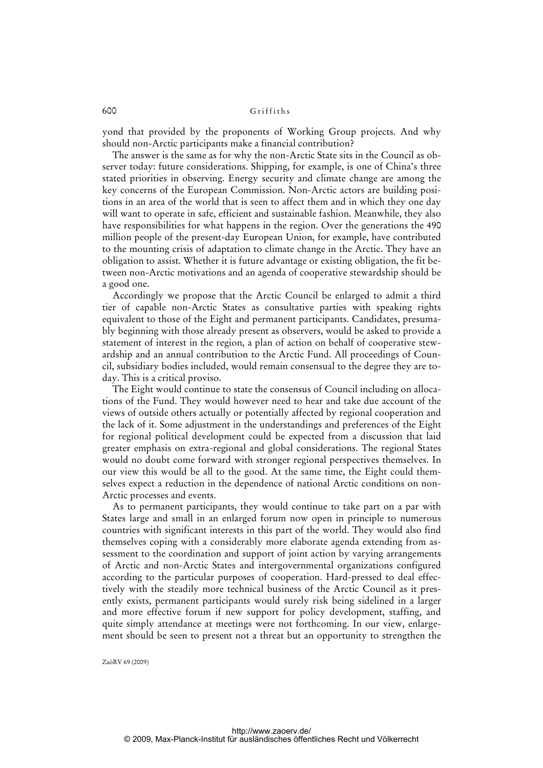yond that provided by the proponents of Working Group projects. And why should non-Arctic participants make a financial contribution?

The answer is the same as for why the non-Arctic State sits in the Council as observer today: future considerations. Shipping, for example, is one of China's three stated priorities in observing. Energy security and climate change are among the key concerns of the European Commission. Non-Arctic actors are building positions in an area of the world that is seen to affect them and in which they one day will want to operate in safe, efficient and sustainable fashion. Meanwhile, they also have responsibilities for what happens in the region. Over the generations the 490 million people of the present-day European Union, for example, have contributed to the mounting crisis of adaptation to climate change in the Arctic. They have an obligation to assist. Whether it is future advantage or existing obligation, the fit between non-Arctic motivations and an agenda of cooperative stewardship should be a good one.

Accordingly we propose that the Arctic Council be enlarged to admit a third tier of capable non-Arctic States as consultative parties with speaking rights equivalent to those of the Eight and permanent participants. Candidates, presumably beginning with those already present as observers, would be asked to provide a statement of interest in the region, a plan of action on behalf of cooperative stewardship and an annual contribution to the Arctic Fund. All proceedings of Council, subsidiary bodies included, would remain consensual to the degree they are today. This is a critical proviso.

The Eight would continue to state the consensus of Council including on allocations of the Fund. They would however need to hear and take due account of the views of outside others actually or potentially affected by regional cooperation and the lack of it. Some adjustment in the understandings and preferences of the Eight for regional political development could be expected from a discussion that laid greater emphasis on extra-regional and global considerations. The regional States would no doubt come forward with stronger regional perspectives themselves. In our view this would be all to the good. At the same time, the Eight could themselves expect a reduction in the dependence of national Arctic conditions on non-Arctic processes and events.

As to permanent participants, they would continue to take part on a par with States large and small in an enlarged forum now open in principle to numerous countries with significant interests in this part of the world. They would also find themselves coping with a considerably more elaborate agenda extending from assessment to the coordination and support of joint action by varying arrangements of Arctic and non-Arctic States and intergovernmental organizations configured according to the particular purposes of cooperation. Hard-pressed to deal effectively with the steadily more technical business of the Arctic Council as it presently exists, permanent participants would surely risk being sidelined in a larger and more effective forum if new support for policy development, staffing, and quite simply attendance at meetings were not forthcoming. In our view, enlargement should be seen to present not a threat but an opportunity to strengthen the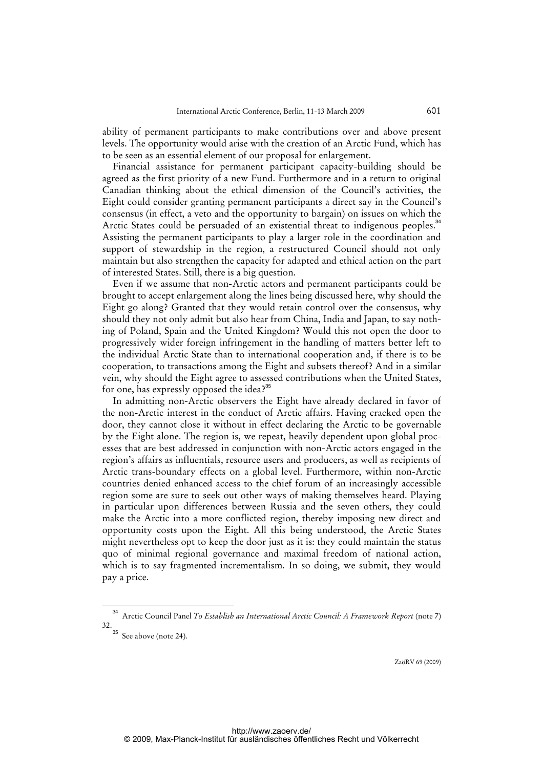ability of permanent participants to make contributions over and above present levels. The opportunity would arise with the creation of an Arctic Fund, which has to be seen as an essential element of our proposal for enlargement.

Financial assistance for permanent participant capacity-building should be agreed as the first priority of a new Fund. Furthermore and in a return to original Canadian thinking about the ethical dimension of the Council's activities, the Eight could consider granting permanent participants a direct say in the Council's consensus (in effect, a veto and the opportunity to bargain) on issues on which the Arctic States could be persuaded of an existential threat to indigenous peoples.<sup>34</sup> Assisting the permanent participants to play a larger role in the coordination and support of stewardship in the region, a restructured Council should not only maintain but also strengthen the capacity for adapted and ethical action on the part of interested States. Still, there is a big question.

Even if we assume that non-Arctic actors and permanent participants could be brought to accept enlargement along the lines being discussed here, why should the Eight go along? Granted that they would retain control over the consensus, why should they not only admit but also hear from China, India and Japan, to say nothing of Poland, Spain and the United Kingdom? Would this not open the door to progressively wider foreign infringement in the handling of matters better left to the individual Arctic State than to international cooperation and, if there is to be cooperation, to transactions among the Eight and subsets thereof? And in a similar vein, why should the Eight agree to assessed contributions when the United States, for one, has expressly opposed the idea?<sup>35</sup>

In admitting non-Arctic observers the Eight have already declared in favor of the non-Arctic interest in the conduct of Arctic affairs. Having cracked open the door, they cannot close it without in effect declaring the Arctic to be governable by the Eight alone. The region is, we repeat, heavily dependent upon global processes that are best addressed in conjunction with non-Arctic actors engaged in the region's affairs as influentials, resource users and producers, as well as recipients of Arctic trans-boundary effects on a global level. Furthermore, within non-Arctic countries denied enhanced access to the chief forum of an increasingly accessible region some are sure to seek out other ways of making themselves heard. Playing in particular upon differences between Russia and the seven others, they could make the Arctic into a more conflicted region, thereby imposing new direct and opportunity costs upon the Eight. All this being understood, the Arctic States might nevertheless opt to keep the door just as it is: they could maintain the status quo of minimal regional governance and maximal freedom of national action, which is to say fragmented incrementalism. In so doing, we submit, they would pay a price.

<sup>34</sup> Arctic Council Panel *To Establish an International Arctic Council: A Framework Report* (note 7) 32.

 $\cdot$ <sup>35</sup> See above (note 24).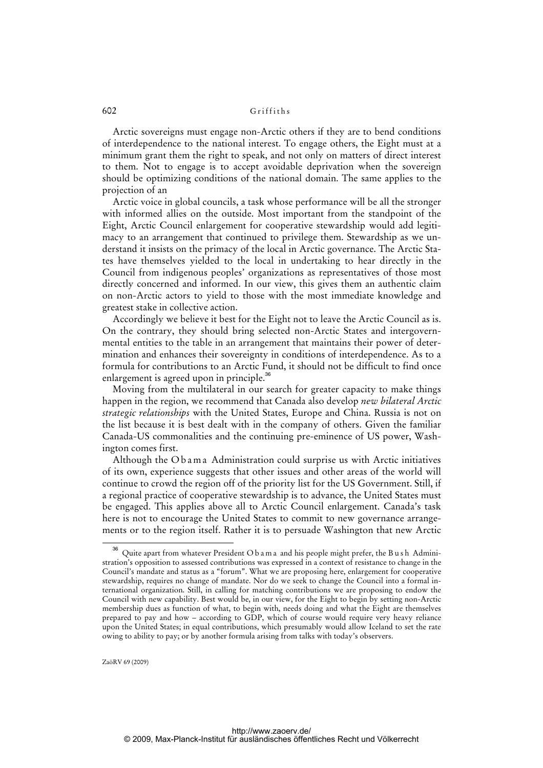Arctic sovereigns must engage non-Arctic others if they are to bend conditions of interdependence to the national interest. To engage others, the Eight must at a minimum grant them the right to speak, and not only on matters of direct interest to them. Not to engage is to accept avoidable deprivation when the sovereign should be optimizing conditions of the national domain. The same applies to the projection of an

Arctic voice in global councils, a task whose performance will be all the stronger with informed allies on the outside. Most important from the standpoint of the Eight, Arctic Council enlargement for cooperative stewardship would add legitimacy to an arrangement that continued to privilege them. Stewardship as we understand it insists on the primacy of the local in Arctic governance. The Arctic States have themselves yielded to the local in undertaking to hear directly in the Council from indigenous peoples' organizations as representatives of those most directly concerned and informed. In our view, this gives them an authentic claim on non-Arctic actors to yield to those with the most immediate knowledge and greatest stake in collective action.

Accordingly we believe it best for the Eight not to leave the Arctic Council as is. On the contrary, they should bring selected non-Arctic States and intergovernmental entities to the table in an arrangement that maintains their power of determination and enhances their sovereignty in conditions of interdependence. As to a formula for contributions to an Arctic Fund, it should not be difficult to find once enlargement is agreed upon in principle.<sup>36</sup>

Moving from the multilateral in our search for greater capacity to make things happen in the region, we recommend that Canada also develop *new bilateral Arctic strategic relationships* with the United States, Europe and China. Russia is not on the list because it is best dealt with in the company of others. Given the familiar Canada-US commonalities and the continuing pre-eminence of US power, Washington comes first.

Although the Obama Administration could surprise us with Arctic initiatives of its own, experience suggests that other issues and other areas of the world will continue to crowd the region off of the priority list for the US Government. Still, if a regional practice of cooperative stewardship is to advance, the United States must be engaged. This applies above all to Arctic Council enlargement. Canada's task here is not to encourage the United States to commit to new governance arrangements or to the region itself. Rather it is to persuade Washington that new Arctic

<sup>36</sup> Quite apart from whatever President O b a m a and his people might prefer, the B u s h Administration's opposition to assessed contributions was expressed in a context of resistance to change in the Council's mandate and status as a "forum". What we are proposing here, enlargement for cooperative stewardship, requires no change of mandate. Nor do we seek to change the Council into a formal international organization. Still, in calling for matching contributions we are proposing to endow the Council with new capability. Best would be, in our view, for the Eight to begin by setting non-Arctic membership dues as function of what, to begin with, needs doing and what the Eight are themselves prepared to pay and how – according to GDP, which of course would require very heavy reliance upon the United States; in equal contributions, which presumably would allow Iceland to set the rate owing to ability to pay; or by another formula arising from talks with today's observers.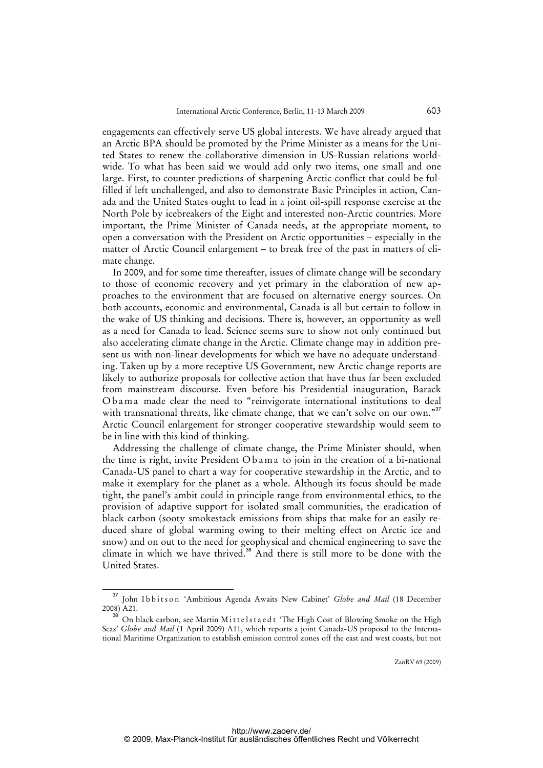engagements can effectively serve US global interests. We have already argued that an Arctic BPA should be promoted by the Prime Minister as a means for the United States to renew the collaborative dimension in US-Russian relations worldwide. To what has been said we would add only two items, one small and one large. First, to counter predictions of sharpening Arctic conflict that could be fulfilled if left unchallenged, and also to demonstrate Basic Principles in action, Canada and the United States ought to lead in a joint oil-spill response exercise at the North Pole by icebreakers of the Eight and interested non-Arctic countries. More important, the Prime Minister of Canada needs, at the appropriate moment, to open a conversation with the President on Arctic opportunities – especially in the matter of Arctic Council enlargement – to break free of the past in matters of climate change.

In 2009, and for some time thereafter, issues of climate change will be secondary to those of economic recovery and yet primary in the elaboration of new approaches to the environment that are focused on alternative energy sources. On both accounts, economic and environmental, Canada is all but certain to follow in the wake of US thinking and decisions. There is, however, an opportunity as well as a need for Canada to lead. Science seems sure to show not only continued but also accelerating climate change in the Arctic. Climate change may in addition present us with non-linear developments for which we have no adequate understanding. Taken up by a more receptive US Government, new Arctic change reports are likely to authorize proposals for collective action that have thus far been excluded from mainstream discourse. Even before his Presidential inauguration, Barack O b a m a made clear the need to "reinvigorate international institutions to deal with transnational threats, like climate change, that we can't solve on our own."<sup>37</sup> Arctic Council enlargement for stronger cooperative stewardship would seem to be in line with this kind of thinking.

Addressing the challenge of climate change, the Prime Minister should, when the time is right, invite President Ob a m a to join in the creation of a bi-national Canada-US panel to chart a way for cooperative stewardship in the Arctic, and to make it exemplary for the planet as a whole. Although its focus should be made tight, the panel's ambit could in principle range from environmental ethics, to the provision of adaptive support for isolated small communities, the eradication of black carbon (sooty smokestack emissions from ships that make for an easily reduced share of global warming owing to their melting effect on Arctic ice and snow) and on out to the need for geophysical and chemical engineering to save the climate in which we have thrived.<sup>38</sup> And there is still more to be done with the United States.

<sup>&</sup>lt;sup>37</sup> John Ibbitson 'Ambitious Agenda Awaits New Cabinet' *Globe and Mail* (18 December 2008) A21.

<sup>&</sup>lt;sup>38</sup> On black carbon, see Martin Mittelstaedt 'The High Cost of Blowing Smoke on the High Seas' *Globe and Mail* (1 April 2009) A11, which reports a joint Canada-US proposal to the International Maritime Organization to establish emission control zones off the east and west coasts, but not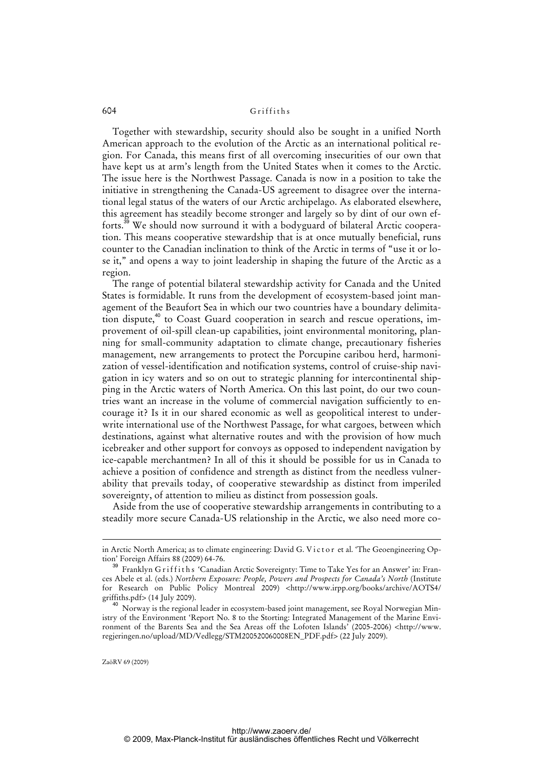Together with stewardship, security should also be sought in a unified North American approach to the evolution of the Arctic as an international political region. For Canada, this means first of all overcoming insecurities of our own that have kept us at arm's length from the United States when it comes to the Arctic. The issue here is the Northwest Passage. Canada is now in a position to take the initiative in strengthening the Canada-US agreement to disagree over the international legal status of the waters of our Arctic archipelago. As elaborated elsewhere, this agreement has steadily become stronger and largely so by dint of our own efforts.<sup>39</sup> We should now surround it with a bodyguard of bilateral Arctic cooperation. This means cooperative stewardship that is at once mutually beneficial, runs counter to the Canadian inclination to think of the Arctic in terms of "use it or lose it," and opens a way to joint leadership in shaping the future of the Arctic as a region.

The range of potential bilateral stewardship activity for Canada and the United States is formidable. It runs from the development of ecosystem-based joint management of the Beaufort Sea in which our two countries have a boundary delimitation dispute,<sup>40</sup> to Coast Guard cooperation in search and rescue operations, improvement of oil-spill clean-up capabilities, joint environmental monitoring, planning for small-community adaptation to climate change, precautionary fisheries management, new arrangements to protect the Porcupine caribou herd, harmonization of vessel-identification and notification systems, control of cruise-ship navigation in icy waters and so on out to strategic planning for intercontinental shipping in the Arctic waters of North America. On this last point, do our two countries want an increase in the volume of commercial navigation sufficiently to encourage it? Is it in our shared economic as well as geopolitical interest to underwrite international use of the Northwest Passage, for what cargoes, between which destinations, against what alternative routes and with the provision of how much icebreaker and other support for convoys as opposed to independent navigation by ice-capable merchantmen? In all of this it should be possible for us in Canada to achieve a position of confidence and strength as distinct from the needless vulnerability that prevails today, of cooperative stewardship as distinct from imperiled sovereignty, of attention to milieu as distinct from possession goals.

Aside from the use of cooperative stewardship arrangements in contributing to a steadily more secure Canada-US relationship in the Arctic, we also need more co-

ZaöRV 69 (2009)

-

in Arctic North America; as to climate engineering: David G. Victor et al. 'The Geoengineering Option' Foreign Affairs 88 (2009) 64-76.

Franklyn Griffiths 'Canadian Arctic Sovereignty: Time to Take Yes for an Answer' in: Frances Abele et al. (eds.) *Northern Exposure: People, Powers and Prospects for Canada's North* (Institute for Research on Public Policy Montreal 2009) [<http://www.irpp.org/books/archive/AOTS4/](http://www.irpp.org/books/archive/AOTS4/) griffiths.pdf> (14 July 2009).

<sup>&</sup>lt;sup>40</sup> Norway is the regional leader in ecosystem-based joint management, see Royal Norwegian Ministry of the Environment 'Report No. 8 to the Storting: Integrated Management of the Marine Environment of the Barents Sea and the Sea Areas off the Lofoten Islands' (2005-2006) <[http://www.](http://www) regjeringen.no/upload/MD/Vedlegg/STM200520060008EN\_PDF.pdf> (22 July 2009).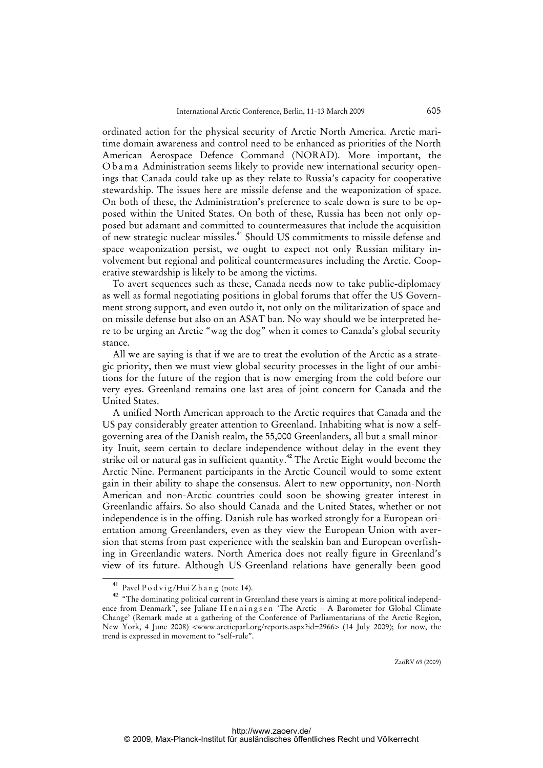ordinated action for the physical security of Arctic North America. Arctic maritime domain awareness and control need to be enhanced as priorities of the North American Aerospace Defence Command (NORAD). More important, the O b a m a Administration seems likely to provide new international security openings that Canada could take up as they relate to Russia's capacity for cooperative stewardship. The issues here are missile defense and the weaponization of space. On both of these, the Administration's preference to scale down is sure to be opposed within the United States. On both of these, Russia has been not only opposed but adamant and committed to countermeasures that include the acquisition of new strategic nuclear missiles.<sup>41</sup> Should US commitments to missile defense and space weaponization persist, we ought to expect not only Russian military involvement but regional and political countermeasures including the Arctic. Cooperative stewardship is likely to be among the victims.

To avert sequences such as these, Canada needs now to take public-diplomacy as well as formal negotiating positions in global forums that offer the US Government strong support, and even outdo it, not only on the militarization of space and on missile defense but also on an ASAT ban. No way should we be interpreted here to be urging an Arctic "wag the dog" when it comes to Canada's global security stance.

All we are saying is that if we are to treat the evolution of the Arctic as a strategic priority, then we must view global security processes in the light of our ambitions for the future of the region that is now emerging from the cold before our very eyes. Greenland remains one last area of joint concern for Canada and the United States.

A unified North American approach to the Arctic requires that Canada and the US pay considerably greater attention to Greenland. Inhabiting what is now a selfgoverning area of the Danish realm, the 55,000 Greenlanders, all but a small minority Inuit, seem certain to declare independence without delay in the event they strike oil or natural gas in sufficient quantity.<sup>42</sup> The Arctic Eight would become the Arctic Nine. Permanent participants in the Arctic Council would to some extent gain in their ability to shape the consensus. Alert to new opportunity, non-North American and non-Arctic countries could soon be showing greater interest in Greenlandic affairs. So also should Canada and the United States, whether or not independence is in the offing. Danish rule has worked strongly for a European orientation among Greenlanders, even as they view the European Union with aversion that stems from past experience with the sealskin ban and European overfishing in Greenlandic waters. North America does not really figure in Greenland's view of its future. Although US-Greenland relations have generally been good

<sup>&</sup>lt;sup>41</sup> Pavel P o d v i g /Hui Z h a n g (note 14).

<sup>&</sup>lt;sup>42</sup> "The dominating political current in Greenland these years is aiming at more political independence from Denmark", see Juliane Henningsen 'The Arctic - A Barometer for Global Climate Change' (Remark made at a gathering of the Conference of Parliamentarians of the Arctic Region, New York, 4 June 2008) <www.arcticparl.org/reports.aspx?id=2966> (14 July 2009); for now, the trend is expressed in movement to "self-rule".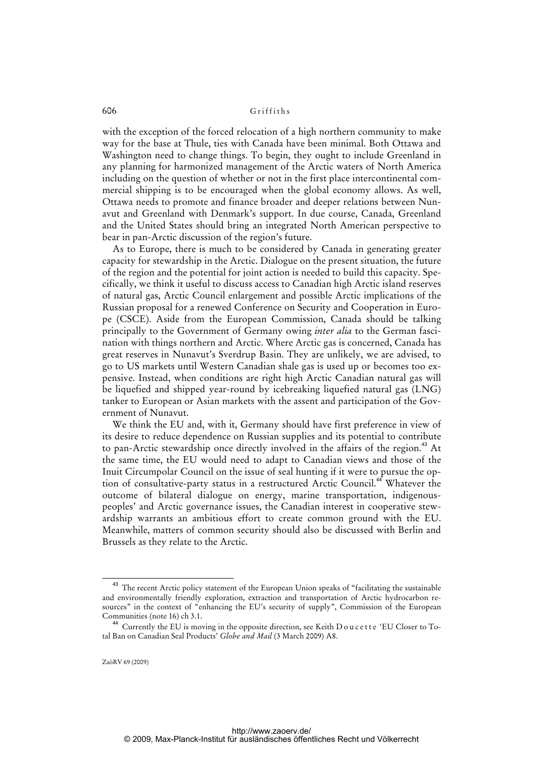with the exception of the forced relocation of a high northern community to make way for the base at Thule, ties with Canada have been minimal. Both Ottawa and Washington need to change things. To begin, they ought to include Greenland in any planning for harmonized management of the Arctic waters of North America including on the question of whether or not in the first place intercontinental commercial shipping is to be encouraged when the global economy allows. As well, Ottawa needs to promote and finance broader and deeper relations between Nunavut and Greenland with Denmark's support. In due course, Canada, Greenland and the United States should bring an integrated North American perspective to bear in pan-Arctic discussion of the region's future.

As to Europe, there is much to be considered by Canada in generating greater capacity for stewardship in the Arctic. Dialogue on the present situation, the future of the region and the potential for joint action is needed to build this capacity. Specifically, we think it useful to discuss access to Canadian high Arctic island reserves of natural gas, Arctic Council enlargement and possible Arctic implications of the Russian proposal for a renewed Conference on Security and Cooperation in Europe (CSCE). Aside from the European Commission, Canada should be talking principally to the Government of Germany owing *inter alia* to the German fascination with things northern and Arctic. Where Arctic gas is concerned, Canada has great reserves in Nunavut's Sverdrup Basin. They are unlikely, we are advised, to go to US markets until Western Canadian shale gas is used up or becomes too expensive. Instead, when conditions are right high Arctic Canadian natural gas will be liquefied and shipped year-round by icebreaking liquefied natural gas (LNG) tanker to European or Asian markets with the assent and participation of the Government of Nunavut.

We think the EU and, with it, Germany should have first preference in view of its desire to reduce dependence on Russian supplies and its potential to contribute to pan-Arctic stewardship once directly involved in the affairs of the region.<sup>43</sup> At the same time, the EU would need to adapt to Canadian views and those of the Inuit Circumpolar Council on the issue of seal hunting if it were to pursue the option of consultative-party status in a restructured Arctic Council.<sup>44</sup> Whatever the outcome of bilateral dialogue on energy, marine transportation, indigenouspeoples' and Arctic governance issues, the Canadian interest in cooperative stewardship warrants an ambitious effort to create common ground with the EU. Meanwhile, matters of common security should also be discussed with Berlin and Brussels as they relate to the Arctic.

<sup>&</sup>lt;sup>43</sup> The recent Arctic policy statement of the European Union speaks of "facilitating the sustainable and environmentally friendly exploration, extraction and transportation of Arctic hydrocarbon resources" in the context of "enhancing the EU's security of supply", Commission of the European Communities (note 16) ch 3.1.

 $^4\,$  Currently the EU is moving in the opposite direction, see Keith D o u c et t e 'EU Closer to Total Ban on Canadian Seal Products' *Globe and Mail* (3 March 2009) A8.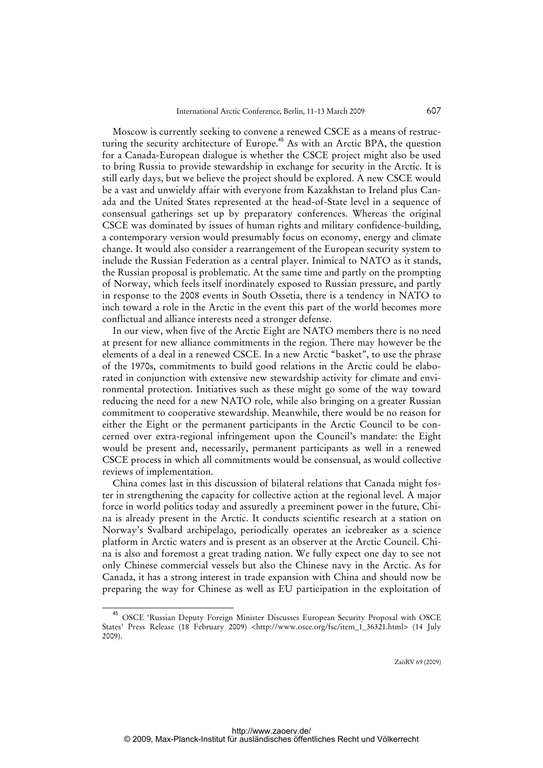Moscow is currently seeking to convene a renewed CSCE as a means of restructuring the security architecture of Europe.<sup>45</sup> As with an Arctic BPA, the question for a Canada-European dialogue is whether the CSCE project might also be used to bring Russia to provide stewardship in exchange for security in the Arctic. It is still early days, but we believe the project should be explored. A new CSCE would be a vast and unwieldy affair with everyone from Kazakhstan to Ireland plus Canada and the United States represented at the head-of-State level in a sequence of consensual gatherings set up by preparatory conferences. Whereas the original CSCE was dominated by issues of human rights and military confidence-building, a contemporary version would presumably focus on economy, energy and climate change. It would also consider a rearrangement of the European security system to include the Russian Federation as a central player. Inimical to NATO as it stands, the Russian proposal is problematic. At the same time and partly on the prompting of Norway, which feels itself inordinately exposed to Russian pressure, and partly in response to the 2008 events in South Ossetia, there is a tendency in NATO to inch toward a role in the Arctic in the event this part of the world becomes more conflictual and alliance interests need a stronger defense.

In our view, when five of the Arctic Eight are NATO members there is no need at present for new alliance commitments in the region. There may however be the elements of a deal in a renewed CSCE. In a new Arctic "basket", to use the phrase of the 1970s, commitments to build good relations in the Arctic could be elaborated in conjunction with extensive new stewardship activity for climate and environmental protection. Initiatives such as these might go some of the way toward reducing the need for a new NATO role, while also bringing on a greater Russian commitment to cooperative stewardship. Meanwhile, there would be no reason for either the Eight or the permanent participants in the Arctic Council to be concerned over extra-regional infringement upon the Council's mandate: the Eight would be present and, necessarily, permanent participants as well in a renewed CSCE process in which all commitments would be consensual, as would collective reviews of implementation.

China comes last in this discussion of bilateral relations that Canada might foster in strengthening the capacity for collective action at the regional level. A major force in world politics today and assuredly a preeminent power in the future, China is already present in the Arctic. It conducts scientific research at a station on Norway's Svalbard archipelago, periodically operates an icebreaker as a science platform in Arctic waters and is present as an observer at the Arctic Council. China is also and foremost a great trading nation. We fully expect one day to see not only Chinese commercial vessels but also the Chinese navy in the Arctic. As for Canada, it has a strong interest in trade expansion with China and should now be preparing the way for Chinese as well as EU participation in the exploitation of

<sup>45</sup> OSCE 'Russian Deputy Foreign Minister Discusses European Security Proposal with OSCE States' Press Release (18 February 2009) <[http://www.osce.org/fsc/item\\_1\\_36321.html>](http://www.osce.org/fsc/item_1_36321.html) (14 July 2009).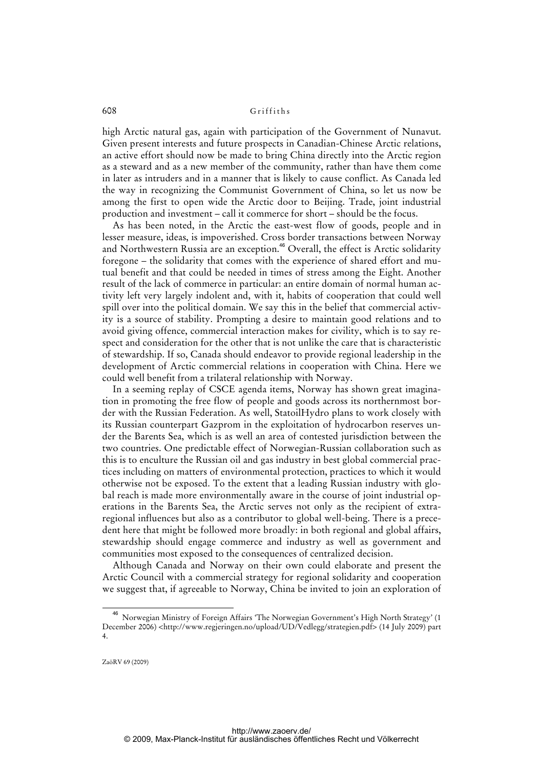high Arctic natural gas, again with participation of the Government of Nunavut. Given present interests and future prospects in Canadian-Chinese Arctic relations, an active effort should now be made to bring China directly into the Arctic region as a steward and as a new member of the community, rather than have them come in later as intruders and in a manner that is likely to cause conflict. As Canada led the way in recognizing the Communist Government of China, so let us now be among the first to open wide the Arctic door to Beijing. Trade, joint industrial production and investment – call it commerce for short – should be the focus.

As has been noted, in the Arctic the east-west flow of goods, people and in lesser measure, ideas, is impoverished. Cross border transactions between Norway and Northwestern Russia are an exception.<sup>46</sup> Overall, the effect is Arctic solidarity foregone – the solidarity that comes with the experience of shared effort and mutual benefit and that could be needed in times of stress among the Eight. Another result of the lack of commerce in particular: an entire domain of normal human activity left very largely indolent and, with it, habits of cooperation that could well spill over into the political domain. We say this in the belief that commercial activity is a source of stability. Prompting a desire to maintain good relations and to avoid giving offence, commercial interaction makes for civility, which is to say respect and consideration for the other that is not unlike the care that is characteristic of stewardship. If so, Canada should endeavor to provide regional leadership in the development of Arctic commercial relations in cooperation with China. Here we could well benefit from a trilateral relationship with Norway.

In a seeming replay of CSCE agenda items, Norway has shown great imagination in promoting the free flow of people and goods across its northernmost border with the Russian Federation. As well, StatoilHydro plans to work closely with its Russian counterpart Gazprom in the exploitation of hydrocarbon reserves under the Barents Sea, which is as well an area of contested jurisdiction between the two countries. One predictable effect of Norwegian-Russian collaboration such as this is to enculture the Russian oil and gas industry in best global commercial practices including on matters of environmental protection, practices to which it would otherwise not be exposed. To the extent that a leading Russian industry with global reach is made more environmentally aware in the course of joint industrial operations in the Barents Sea, the Arctic serves not only as the recipient of extraregional influences but also as a contributor to global well-being. There is a precedent here that might be followed more broadly: in both regional and global affairs, stewardship should engage commerce and industry as well as government and communities most exposed to the consequences of centralized decision.

Although Canada and Norway on their own could elaborate and present the Arctic Council with a commercial strategy for regional solidarity and cooperation we suggest that, if agreeable to Norway, China be invited to join an exploration of

<sup>46</sup> Norwegian Ministry of Foreign Affairs 'The Norwegian Government's High North Strategy' (1 December 2006) <[http://www.regjeringen.no/upload/UD/Vedlegg/strategien.pdf>](http://www.regjeringen.no/upload/UD/Vedlegg/strategien.pdf) (14 July 2009) part 4.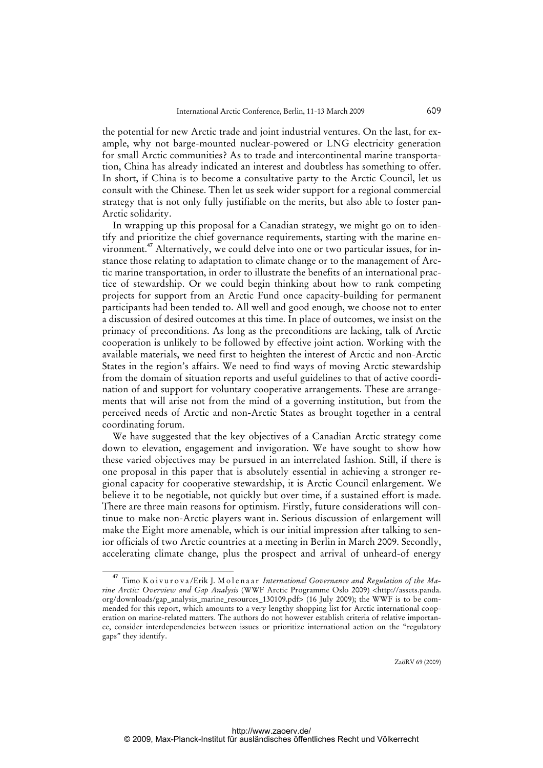the potential for new Arctic trade and joint industrial ventures. On the last, for example, why not barge-mounted nuclear-powered or LNG electricity generation for small Arctic communities? As to trade and intercontinental marine transportation, China has already indicated an interest and doubtless has something to offer. In short, if China is to become a consultative party to the Arctic Council, let us consult with the Chinese. Then let us seek wider support for a regional commercial strategy that is not only fully justifiable on the merits, but also able to foster pan-Arctic solidarity.

In wrapping up this proposal for a Canadian strategy, we might go on to identify and prioritize the chief governance requirements, starting with the marine environment.<sup>47</sup> Alternatively, we could delve into one or two particular issues, for instance those relating to adaptation to climate change or to the management of Arctic marine transportation, in order to illustrate the benefits of an international practice of stewardship. Or we could begin thinking about how to rank competing projects for support from an Arctic Fund once capacity-building for permanent participants had been tended to. All well and good enough, we choose not to enter a discussion of desired outcomes at this time. In place of outcomes, we insist on the primacy of preconditions. As long as the preconditions are lacking, talk of Arctic cooperation is unlikely to be followed by effective joint action. Working with the available materials, we need first to heighten the interest of Arctic and non-Arctic States in the region's affairs. We need to find ways of moving Arctic stewardship from the domain of situation reports and useful guidelines to that of active coordination of and support for voluntary cooperative arrangements. These are arrangements that will arise not from the mind of a governing institution, but from the perceived needs of Arctic and non-Arctic States as brought together in a central coordinating forum.

We have suggested that the key objectives of a Canadian Arctic strategy come down to elevation, engagement and invigoration. We have sought to show how these varied objectives may be pursued in an interrelated fashion. Still, if there is one proposal in this paper that is absolutely essential in achieving a stronger regional capacity for cooperative stewardship, it is Arctic Council enlargement. We believe it to be negotiable, not quickly but over time, if a sustained effort is made. There are three main reasons for optimism. Firstly, future considerations will continue to make non-Arctic players want in. Serious discussion of enlargement will make the Eight more amenable, which is our initial impression after talking to senior officials of two Arctic countries at a meeting in Berlin in March 2009. Secondly, accelerating climate change, plus the prospect and arrival of unheard-of energy

<sup>&</sup>lt;sup>47</sup> Timo Koivurova/Erik J. Molenaar International Governance and Regulation of the Ma*rine Arctic: Overview and Gap Analysis* (WWF Arctic Programme Oslo 2009) [<http://assets.panda.](http://assets.panda) org/downloads/gap\_analysis\_marine\_resources\_130109.pdf> (16 July 2009); the WWF is to be commended for this report, which amounts to a very lengthy shopping list for Arctic international cooperation on marine-related matters. The authors do not however establish criteria of relative importance, consider interdependencies between issues or prioritize international action on the "regulatory gaps" they identify.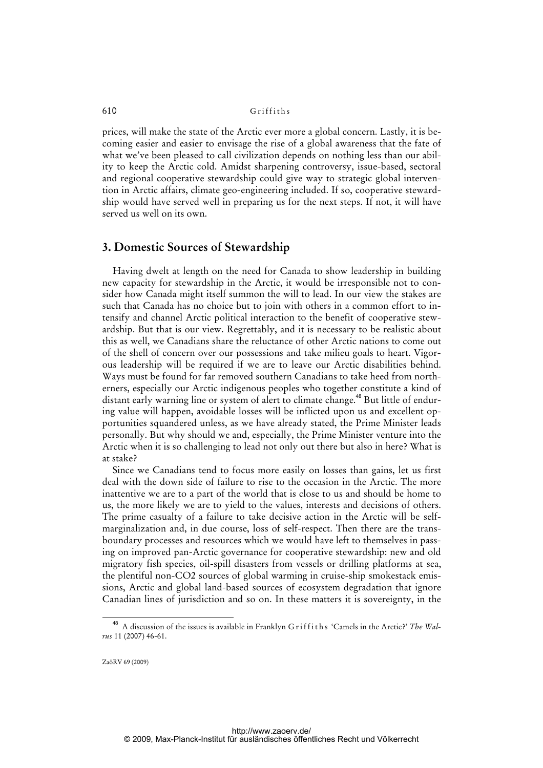prices, will make the state of the Arctic ever more a global concern. Lastly, it is becoming easier and easier to envisage the rise of a global awareness that the fate of what we've been pleased to call civilization depends on nothing less than our ability to keep the Arctic cold. Amidst sharpening controversy, issue-based, sectoral and regional cooperative stewardship could give way to strategic global intervention in Arctic affairs, climate geo-engineering included. If so, cooperative stewardship would have served well in preparing us for the next steps. If not, it will have served us well on its own.

### **3. Domestic Sources of Stewardship**

Having dwelt at length on the need for Canada to show leadership in building new capacity for stewardship in the Arctic, it would be irresponsible not to consider how Canada might itself summon the will to lead. In our view the stakes are such that Canada has no choice but to join with others in a common effort to intensify and channel Arctic political interaction to the benefit of cooperative stewardship. But that is our view. Regrettably, and it is necessary to be realistic about this as well, we Canadians share the reluctance of other Arctic nations to come out of the shell of concern over our possessions and take milieu goals to heart. Vigorous leadership will be required if we are to leave our Arctic disabilities behind. Ways must be found for far removed southern Canadians to take heed from northerners, especially our Arctic indigenous peoples who together constitute a kind of distant early warning line or system of alert to climate change.<sup>48</sup> But little of enduring value will happen, avoidable losses will be inflicted upon us and excellent opportunities squandered unless, as we have already stated, the Prime Minister leads personally. But why should we and, especially, the Prime Minister venture into the Arctic when it is so challenging to lead not only out there but also in here? What is at stake?

Since we Canadians tend to focus more easily on losses than gains, let us first deal with the down side of failure to rise to the occasion in the Arctic. The more inattentive we are to a part of the world that is close to us and should be home to us, the more likely we are to yield to the values, interests and decisions of others. The prime casualty of a failure to take decisive action in the Arctic will be selfmarginalization and, in due course, loss of self-respect. Then there are the transboundary processes and resources which we would have left to themselves in passing on improved pan-Arctic governance for cooperative stewardship: new and old migratory fish species, oil-spill disasters from vessels or drilling platforms at sea, the plentiful non-CO2 sources of global warming in cruise-ship smokestack emissions, Arctic and global land-based sources of ecosystem degradation that ignore Canadian lines of jurisdiction and so on. In these matters it is sovereignty, in the

<sup>&</sup>lt;sup>48</sup> A discussion of the issues is available in Franklyn G riffiths 'Camels in the Arctic?' The Wal*rus* 11 (2007) 46-61.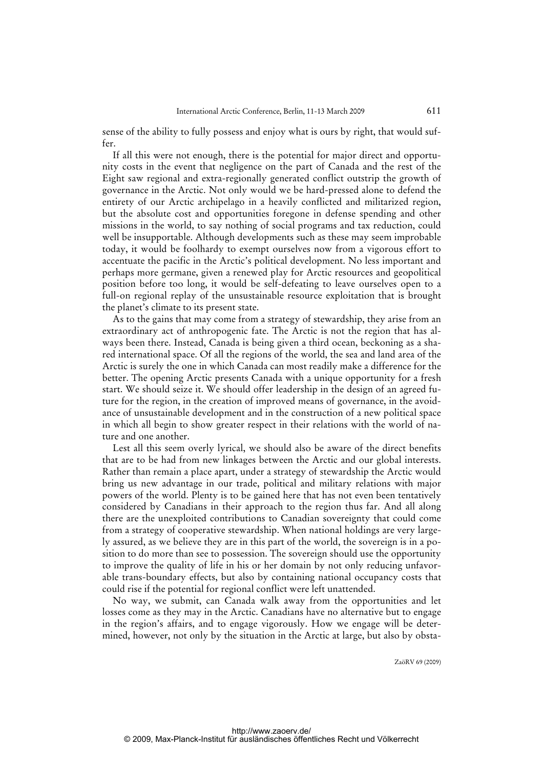sense of the ability to fully possess and enjoy what is ours by right, that would suffer.

If all this were not enough, there is the potential for major direct and opportunity costs in the event that negligence on the part of Canada and the rest of the Eight saw regional and extra-regionally generated conflict outstrip the growth of governance in the Arctic. Not only would we be hard-pressed alone to defend the entirety of our Arctic archipelago in a heavily conflicted and militarized region, but the absolute cost and opportunities foregone in defense spending and other missions in the world, to say nothing of social programs and tax reduction, could well be insupportable. Although developments such as these may seem improbable today, it would be foolhardy to exempt ourselves now from a vigorous effort to accentuate the pacific in the Arctic's political development. No less important and perhaps more germane, given a renewed play for Arctic resources and geopolitical position before too long, it would be self-defeating to leave ourselves open to a full-on regional replay of the unsustainable resource exploitation that is brought the planet's climate to its present state.

As to the gains that may come from a strategy of stewardship, they arise from an extraordinary act of anthropogenic fate. The Arctic is not the region that has always been there. Instead, Canada is being given a third ocean, beckoning as a shared international space. Of all the regions of the world, the sea and land area of the Arctic is surely the one in which Canada can most readily make a difference for the better. The opening Arctic presents Canada with a unique opportunity for a fresh start. We should seize it. We should offer leadership in the design of an agreed future for the region, in the creation of improved means of governance, in the avoidance of unsustainable development and in the construction of a new political space in which all begin to show greater respect in their relations with the world of nature and one another.

Lest all this seem overly lyrical, we should also be aware of the direct benefits that are to be had from new linkages between the Arctic and our global interests. Rather than remain a place apart, under a strategy of stewardship the Arctic would bring us new advantage in our trade, political and military relations with major powers of the world. Plenty is to be gained here that has not even been tentatively considered by Canadians in their approach to the region thus far. And all along there are the unexploited contributions to Canadian sovereignty that could come from a strategy of cooperative stewardship. When national holdings are very largely assured, as we believe they are in this part of the world, the sovereign is in a position to do more than see to possession. The sovereign should use the opportunity to improve the quality of life in his or her domain by not only reducing unfavorable trans-boundary effects, but also by containing national occupancy costs that could rise if the potential for regional conflict were left unattended.

No way, we submit, can Canada walk away from the opportunities and let losses come as they may in the Arctic. Canadians have no alternative but to engage in the region's affairs, and to engage vigorously. How we engage will be determined, however, not only by t[he situation in the Arctic at large, but also by obsta-](obsta-http://Za�RV)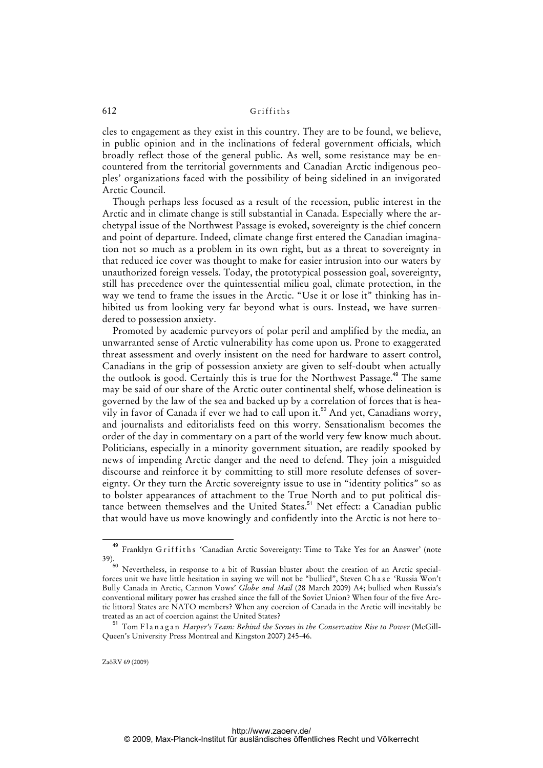cles to engagement as they exist in this country. They are to be found, we believe, in public opinion and in the inclinations of federal government officials, which broadly reflect those of the general public. As well, some resistance may be encountered from the territorial governments and Canadian Arctic indigenous peoples' organizations faced with the possibility of being sidelined in an invigorated Arctic Council.

Though perhaps less focused as a result of the recession, public interest in the Arctic and in climate change is still substantial in Canada. Especially where the archetypal issue of the Northwest Passage is evoked, sovereignty is the chief concern and point of departure. Indeed, climate change first entered the Canadian imagination not so much as a problem in its own right, but as a threat to sovereignty in that reduced ice cover was thought to make for easier intrusion into our waters by unauthorized foreign vessels. Today, the prototypical possession goal, sovereignty, still has precedence over the quintessential milieu goal, climate protection, in the way we tend to frame the issues in the Arctic. "Use it or lose it" thinking has inhibited us from looking very far beyond what is ours. Instead, we have surrendered to possession anxiety.

Promoted by academic purveyors of polar peril and amplified by the media, an unwarranted sense of Arctic vulnerability has come upon us. Prone to exaggerated threat assessment and overly insistent on the need for hardware to assert control, Canadians in the grip of possession anxiety are given to self-doubt when actually the outlook is good. Certainly this is true for the Northwest Passage.<sup>49</sup> The same may be said of our share of the Arctic outer continental shelf, whose delineation is governed by the law of the sea and backed up by a correlation of forces that is heavily in favor of Canada if ever we had to call upon it.<sup>50</sup> And yet, Canadians worry, and journalists and editorialists feed on this worry. Sensationalism becomes the order of the day in commentary on a part of the world very few know much about. Politicians, especially in a minority government situation, are readily spooked by news of impending Arctic danger and the need to defend. They join a misguided discourse and reinforce it by committing to still more resolute defenses of sovereignty. Or they turn the Arctic sovereignty issue to use in "identity politics" so as to bolster appearances of attachment to the True North and to put political distance between themselves and the United States.<sup>51</sup> Net effect: a Canadian public that would have us move knowingly and confidently into the Arctic is not here to-

<sup>49</sup> Franklyn Griffiths 'Canadian Arctic Sovereignty: Time to Take Yes for an Answer' (note 39).

<sup>50</sup> Nevertheless, in response to a bit of Russian bluster about the creation of an Arctic specialforces unit we have little hesitation in saying we will not be "bullied", Steven Chase 'Russia Won't Bully Canada in Arctic, Cannon Vows' *Globe and Mail* (28 March 2009) A4; bullied when Russia's conventional military power has crashed since the fall of the Soviet Union? When four of the five Arctic littoral States are NATO members? When any coercion of Canada in the Arctic will inevitably be treated as an act of coercion against the United States?

<sup>&</sup>lt;sup>1</sup> Tom Flanagan *Harper's Team: Behind the Scenes in the Conservative Rise to Power* (McGill-Queen's University Press Montreal and Kingston 2007) 245-46.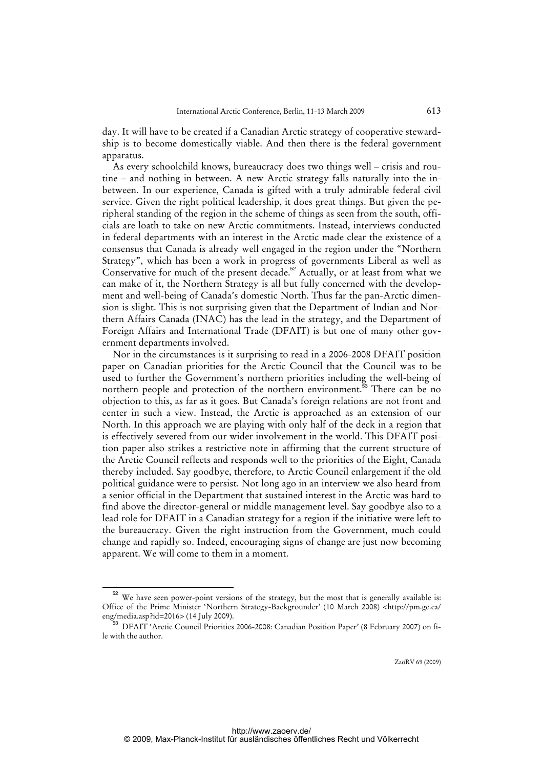day. It will have to be created if a Canadian Arctic strategy of cooperative stewardship is to become domestically viable. And then there is the federal government apparatus.

As every schoolchild knows, bureaucracy does two things well – crisis and routine – and nothing in between. A new Arctic strategy falls naturally into the inbetween. In our experience, Canada is gifted with a truly admirable federal civil service. Given the right political leadership, it does great things. But given the peripheral standing of the region in the scheme of things as seen from the south, officials are loath to take on new Arctic commitments. Instead, interviews conducted in federal departments with an interest in the Arctic made clear the existence of a consensus that Canada is already well engaged in the region under the "Northern Strategy", which has been a work in progress of governments Liberal as well as Conservative for much of the present decade.<sup>52</sup> Actually, or at least from what we can make of it, the Northern Strategy is all but fully concerned with the development and well-being of Canada's domestic North. Thus far the pan-Arctic dimension is slight. This is not surprising given that the Department of Indian and Northern Affairs Canada (INAC) has the lead in the strategy, and the Department of Foreign Affairs and International Trade (DFAIT) is but one of many other government departments involved.

Nor in the circumstances is it surprising to read in a 2006-2008 DFAIT position paper on Canadian priorities for the Arctic Council that the Council was to be used to further the Government's northern priorities including the well-being of northern people and protection of the northern environment.<sup>53</sup> There can be no objection to this, as far as it goes. But Canada's foreign relations are not front and center in such a view. Instead, the Arctic is approached as an extension of our North. In this approach we are playing with only half of the deck in a region that is effectively severed from our wider involvement in the world. This DFAIT position paper also strikes a restrictive note in affirming that the current structure of the Arctic Council reflects and responds well to the priorities of the Eight, Canada thereby included. Say goodbye, therefore, to Arctic Council enlargement if the old political guidance were to persist. Not long ago in an interview we also heard from a senior official in the Department that sustained interest in the Arctic was hard to find above the director-general or middle management level. Say goodbye also to a lead role for DFAIT in a Canadian strategy for a region if the initiative were left to the bureaucracy. Given the right instruction from the Government, much could change and rapidly so. Indeed, encouraging signs of change are just now becoming apparent. We will come to them in a moment.

 $52$  We have seen power-point versions of the strategy, but the most that is generally available is: Office of the Prime Minister 'Northern Strategy-Backgrounder' (10 March 2008) <<http://pm.gc.ca/> eng/media.asp?id=2016> (14 July 2009).

<sup>53</sup> DFAIT 'Arctic Council Priorities 2006-2008: Canadian Position Paper' (8 February 2007) on file with the author.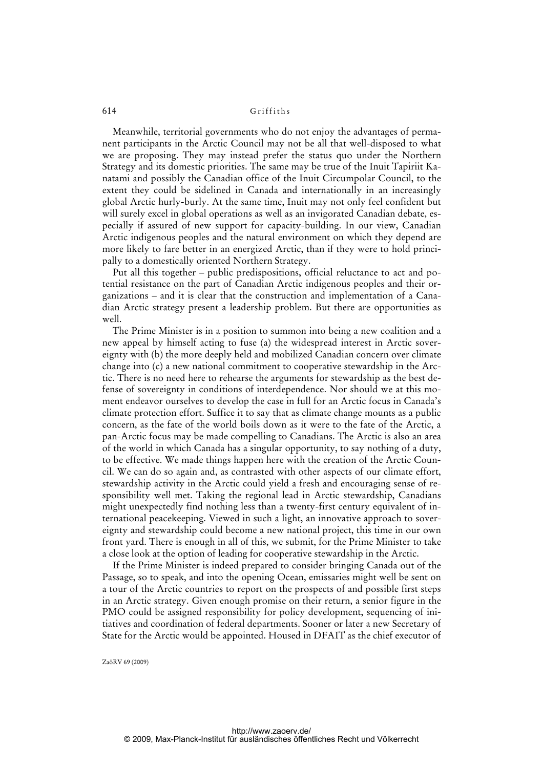Meanwhile, territorial governments who do not enjoy the advantages of permanent participants in the Arctic Council may not be all that well-disposed to what we are proposing. They may instead prefer the status quo under the Northern Strategy and its domestic priorities. The same may be true of the Inuit Tapiriit Kanatami and possibly the Canadian office of the Inuit Circumpolar Council, to the extent they could be sidelined in Canada and internationally in an increasingly global Arctic hurly-burly. At the same time, Inuit may not only feel confident but will surely excel in global operations as well as an invigorated Canadian debate, especially if assured of new support for capacity-building. In our view, Canadian Arctic indigenous peoples and the natural environment on which they depend are more likely to fare better in an energized Arctic, than if they were to hold principally to a domestically oriented Northern Strategy.

Put all this together – public predispositions, official reluctance to act and potential resistance on the part of Canadian Arctic indigenous peoples and their organizations – and it is clear that the construction and implementation of a Canadian Arctic strategy present a leadership problem. But there are opportunities as well.

The Prime Minister is in a position to summon into being a new coalition and a new appeal by himself acting to fuse (a) the widespread interest in Arctic sovereignty with (b) the more deeply held and mobilized Canadian concern over climate change into (c) a new national commitment to cooperative stewardship in the Arctic. There is no need here to rehearse the arguments for stewardship as the best defense of sovereignty in conditions of interdependence. Nor should we at this moment endeavor ourselves to develop the case in full for an Arctic focus in Canada's climate protection effort. Suffice it to say that as climate change mounts as a public concern, as the fate of the world boils down as it were to the fate of the Arctic, a pan-Arctic focus may be made compelling to Canadians. The Arctic is also an area of the world in which Canada has a singular opportunity, to say nothing of a duty, to be effective. We made things happen here with the creation of the Arctic Council. We can do so again and, as contrasted with other aspects of our climate effort, stewardship activity in the Arctic could yield a fresh and encouraging sense of responsibility well met. Taking the regional lead in Arctic stewardship, Canadians might unexpectedly find nothing less than a twenty-first century equivalent of international peacekeeping. Viewed in such a light, an innovative approach to sovereignty and stewardship could become a new national project, this time in our own front yard. There is enough in all of this, we submit, for the Prime Minister to take a close look at the option of leading for cooperative stewardship in the Arctic.

If the Prime Minister is indeed prepared to consider bringing Canada out of the Passage, so to speak, and into the opening Ocean, emissaries might well be sent on a tour of the Arctic countries to report on the prospects of and possible first steps in an Arctic strategy. Given enough promise on their return, a senior figure in the PMO could be assigned responsibility for policy development, sequencing of initiatives and coordination of federal departments. Sooner or later a new Secretary of State for the Arctic would be appointed. Housed in DFAIT as the chief executor of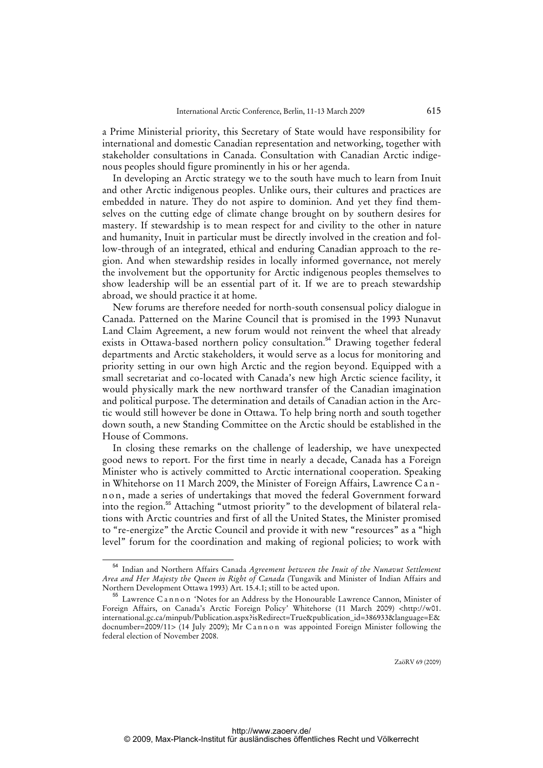a Prime Ministerial priority, this Secretary of State would have responsibility for international and domestic Canadian representation and networking, together with stakeholder consultations in Canada. Consultation with Canadian Arctic indigenous peoples should figure prominently in his or her agenda.

In developing an Arctic strategy we to the south have much to learn from Inuit and other Arctic indigenous peoples. Unlike ours, their cultures and practices are embedded in nature. They do not aspire to dominion. And yet they find themselves on the cutting edge of climate change brought on by southern desires for mastery. If stewardship is to mean respect for and civility to the other in nature and humanity, Inuit in particular must be directly involved in the creation and follow-through of an integrated, ethical and enduring Canadian approach to the region. And when stewardship resides in locally informed governance, not merely the involvement but the opportunity for Arctic indigenous peoples themselves to show leadership will be an essential part of it. If we are to preach stewardship abroad, we should practice it at home.

New forums are therefore needed for north-south consensual policy dialogue in Canada. Patterned on the Marine Council that is promised in the 1993 Nunavut Land Claim Agreement, a new forum would not reinvent the wheel that already exists in Ottawa-based northern policy consultation.<sup>54</sup> Drawing together federal departments and Arctic stakeholders, it would serve as a locus for monitoring and priority setting in our own high Arctic and the region beyond. Equipped with a small secretariat and co-located with Canada's new high Arctic science facility, it would physically mark the new northward transfer of the Canadian imagination and political purpose. The determination and details of Canadian action in the Arctic would still however be done in Ottawa. To help bring north and south together down south, a new Standing Committee on the Arctic should be established in the House of Commons.

In closing these remarks on the challenge of leadership, we have unexpected good news to report. For the first time in nearly a decade, Canada has a Foreign Minister who is actively committed to Arctic international cooperation. Speaking in Whitehorse on 11 March 2009, the Minister of Foreign Affairs, Lawrence C a n n o n, made a series of undertakings that moved the federal Government forward into the region.<sup>55</sup> Attaching "utmost priority" to the development of bilateral relations with Arctic countries and first of all the United States, the Minister promised to "re-energize" the Arctic Council and provide it with new "resources" as a "high level" forum for the coordination and making of regional policies; to work with

<sup>54</sup> Indian and Northern Affairs Canada *Agreement between the Inuit of the Nunavut Settlement Area and Her Majesty the Queen in Right of Canada* (Tungavik and Minister of Indian Affairs and Northern Development Ottawa 1993) Art. 15.4.1; still to be acted upon.

<sup>55</sup> Lawrence Cannon 'Notes for an Address by the Honourable Lawrence Cannon, Minister of Foreign Affairs, on Canada's Arctic Foreign Policy' Whitehorse (11 March 2009) [<http://w01.](http://w01) international.gc.ca/minpub/Publication.aspx?isRedirect=True&publication\_id=386933&language=E& docnumber=2009/11> (14 July 2009); Mr C annon was appointed Foreign Minister following the federal election of November 2008.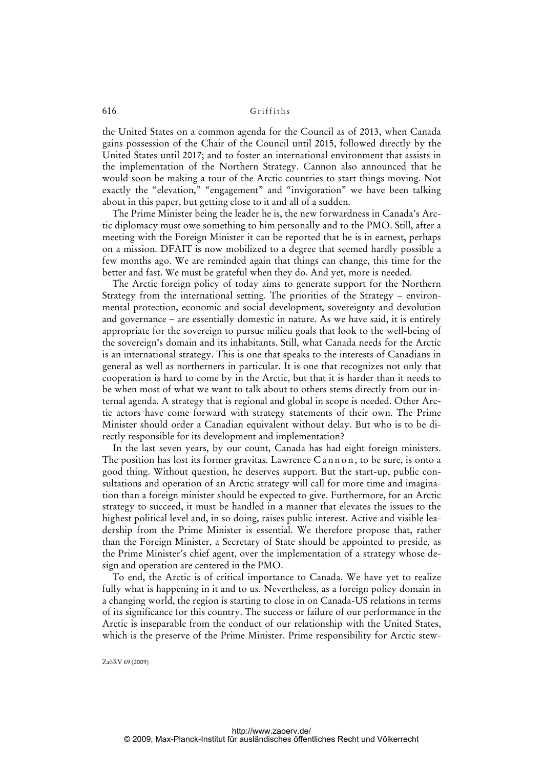the United States on a common agenda for the Council as of 2013, when Canada gains possession of the Chair of the Council until 2015, followed directly by the United States until 2017; and to foster an international environment that assists in the implementation of the Northern Strategy. Cannon also announced that he would soon be making a tour of the Arctic countries to start things moving. Not exactly the "elevation," "engagement" and "invigoration" we have been talking about in this paper, but getting close to it and all of a sudden.

The Prime Minister being the leader he is, the new forwardness in Canada's Arctic diplomacy must owe something to him personally and to the PMO. Still, after a meeting with the Foreign Minister it can be reported that he is in earnest, perhaps on a mission. DFAIT is now mobilized to a degree that seemed hardly possible a few months ago. We are reminded again that things can change, this time for the better and fast. We must be grateful when they do. And yet, more is needed.

The Arctic foreign policy of today aims to generate support for the Northern Strategy from the international setting. The priorities of the Strategy – environmental protection, economic and social development, sovereignty and devolution and governance – are essentially domestic in nature. As we have said, it is entirely appropriate for the sovereign to pursue milieu goals that look to the well-being of the sovereign's domain and its inhabitants. Still, what Canada needs for the Arctic is an international strategy. This is one that speaks to the interests of Canadians in general as well as northerners in particular. It is one that recognizes not only that cooperation is hard to come by in the Arctic, but that it is harder than it needs to be when most of what we want to talk about to others stems directly from our internal agenda. A strategy that is regional and global in scope is needed. Other Arctic actors have come forward with strategy statements of their own. The Prime Minister should order a Canadian equivalent without delay. But who is to be directly responsible for its development and implementation?

In the last seven years, by our count, Canada has had eight foreign ministers. The position has lost its former gravitas. Lawrence Cannon, to be sure, is onto a good thing. Without question, he deserves support. But the start-up, public consultations and operation of an Arctic strategy will call for more time and imagination than a foreign minister should be expected to give. Furthermore, for an Arctic strategy to succeed, it must be handled in a manner that elevates the issues to the highest political level and, in so doing, raises public interest. Active and visible leadership from the Prime Minister is essential. We therefore propose that, rather than the Foreign Minister, a Secretary of State should be appointed to preside, as the Prime Minister's chief agent, over the implementation of a strategy whose design and operation are centered in the PMO.

To end, the Arctic is of critical importance to Canada. We have yet to realize fully what is happening in it and to us. Nevertheless, as a foreign policy domain in a changing world, the region is starting to close in on Canada-US relations in terms of its significance for this country. The success or failure of our performance in the Arctic is inseparable from the conduct of our relationship with the United States, [which is the preserve of the Prime Minister. Prime responsibility for Arctic stew-](stew-http://Za�RV)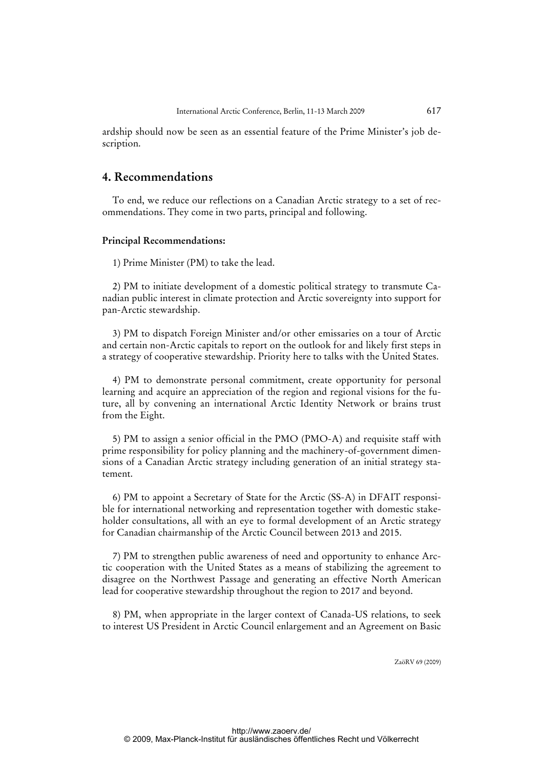ardship should now be seen as an essential feature of the Prime Minister's job description.

### **4. Recommendations**

To end, we reduce our reflections on a Canadian Arctic strategy to a set of recommendations. They come in two parts, principal and following.

#### **Principal Recommendations:**

1) Prime Minister (PM) to take the lead.

2) PM to initiate development of a domestic political strategy to transmute Canadian public interest in climate protection and Arctic sovereignty into support for pan-Arctic stewardship.

3) PM to dispatch Foreign Minister and/or other emissaries on a tour of Arctic and certain non-Arctic capitals to report on the outlook for and likely first steps in a strategy of cooperative stewardship. Priority here to talks with the United States.

4) PM to demonstrate personal commitment, create opportunity for personal learning and acquire an appreciation of the region and regional visions for the future, all by convening an international Arctic Identity Network or brains trust from the Eight.

5) PM to assign a senior official in the PMO (PMO-A) and requisite staff with prime responsibility for policy planning and the machinery-of-government dimensions of a Canadian Arctic strategy including generation of an initial strategy statement.

6) PM to appoint a Secretary of State for the Arctic (SS-A) in DFAIT responsible for international networking and representation together with domestic stakeholder consultations, all with an eye to formal development of an Arctic strategy for Canadian chairmanship of the Arctic Council between 2013 and 2015.

7) PM to strengthen public awareness of need and opportunity to enhance Arctic cooperation with the United States as a means of stabilizing the agreement to disagree on the Northwest Passage and generating an effective North American lead for cooperative stewardship throughout the region to 2017 and beyond.

8) PM, when appropriate in the larger context of Canada-US relations, to seek to interest US President in Arctic Council enlargement and an Agreement on Basic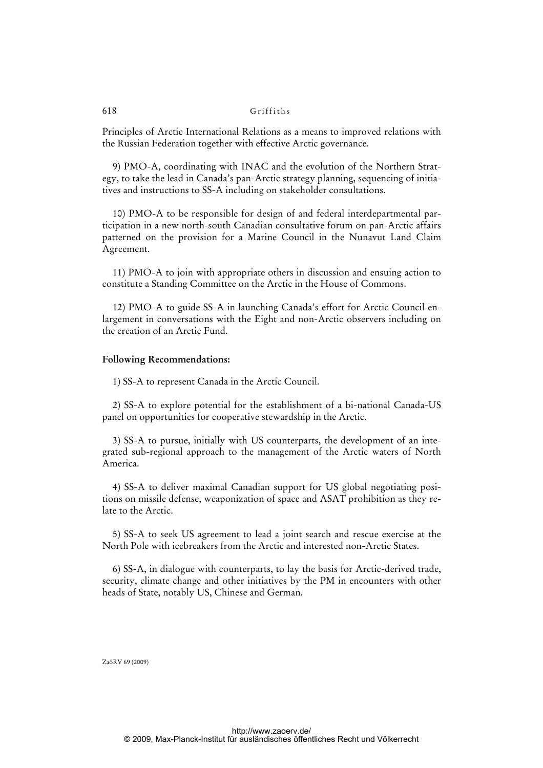Principles of Arctic International Relations as a means to improved relations with the Russian Federation together with effective Arctic governance.

9) PMO-A, coordinating with INAC and the evolution of the Northern Strategy, to take the lead in Canada's pan-Arctic strategy planning, sequencing of initiatives and instructions to SS-A including on stakeholder consultations.

10) PMO-A to be responsible for design of and federal interdepartmental participation in a new north-south Canadian consultative forum on pan-Arctic affairs patterned on the provision for a Marine Council in the Nunavut Land Claim Agreement.

11) PMO-A to join with appropriate others in discussion and ensuing action to constitute a Standing Committee on the Arctic in the House of Commons.

12) PMO-A to guide SS-A in launching Canada's effort for Arctic Council enlargement in conversations with the Eight and non-Arctic observers including on the creation of an Arctic Fund.

#### **Following Recommendations:**

1) SS-A to represent Canada in the Arctic Council.

2) SS-A to explore potential for the establishment of a bi-national Canada-US panel on opportunities for cooperative stewardship in the Arctic.

3) SS-A to pursue, initially with US counterparts, the development of an integrated sub-regional approach to the management of the Arctic waters of North America.

4) SS-A to deliver maximal Canadian support for US global negotiating positions on missile defense, weaponization of space and ASAT prohibition as they relate to the Arctic.

5) SS-A to seek US agreement to lead a joint search and rescue exercise at the North Pole with icebreakers from the Arctic and interested non-Arctic States.

6) SS-A, in dialogue with counterparts, to lay the basis for Arctic-derived trade, security, climate change and other initiatives by the PM in encounters with other heads of State, notably US, Chinese and German.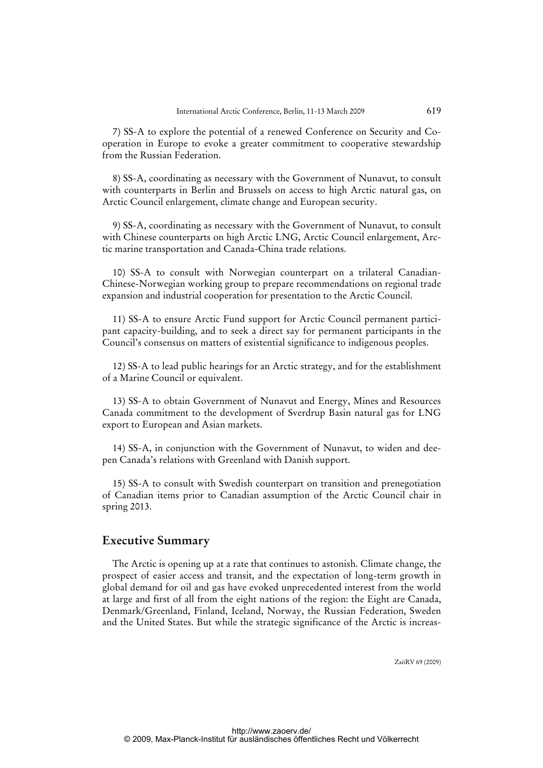7) SS-A to explore the potential of a renewed Conference on Security and Cooperation in Europe to evoke a greater commitment to cooperative stewardship from the Russian Federation.

8) SS-A, coordinating as necessary with the Government of Nunavut, to consult with counterparts in Berlin and Brussels on access to high Arctic natural gas, on Arctic Council enlargement, climate change and European security.

9) SS-A, coordinating as necessary with the Government of Nunavut, to consult with Chinese counterparts on high Arctic LNG, Arctic Council enlargement, Arctic marine transportation and Canada-China trade relations.

10) SS-A to consult with Norwegian counterpart on a trilateral Canadian-Chinese-Norwegian working group to prepare recommendations on regional trade expansion and industrial cooperation for presentation to the Arctic Council.

11) SS-A to ensure Arctic Fund support for Arctic Council permanent participant capacity-building, and to seek a direct say for permanent participants in the Council's consensus on matters of existential significance to indigenous peoples.

12) SS-A to lead public hearings for an Arctic strategy, and for the establishment of a Marine Council or equivalent.

13) SS-A to obtain Government of Nunavut and Energy, Mines and Resources Canada commitment to the development of Sverdrup Basin natural gas for LNG export to European and Asian markets.

14) SS-A, in conjunction with the Government of Nunavut, to widen and deepen Canada's relations with Greenland with Danish support.

15) SS-A to consult with Swedish counterpart on transition and prenegotiation of Canadian items prior to Canadian assumption of the Arctic Council chair in spring 2013.

# **Executive Summary**

The Arctic is opening up at a rate that continues to astonish. Climate change, the prospect of easier access and transit, and the expectation of long-term growth in global demand for oil and gas have evoked unprecedented interest from the world at large and first of all from the eight nations of the region: the Eight are Canada, Denmark/Greenland, Finland, Iceland, Norway, the Russian Federation, Sweden and the United States. But whi[le the strategic significance of the Arctic is increas-](increas-http://www.zaoerv.de/)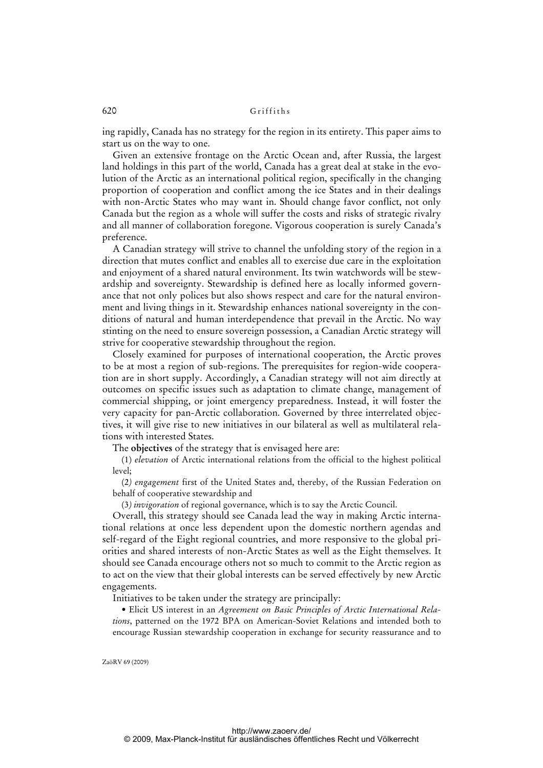ing rapidly, Canada has no strategy for the region in its entirety. This paper aims to start us on the way to one.

Given an extensive frontage on the Arctic Ocean and, after Russia, the largest land holdings in this part of the world, Canada has a great deal at stake in the evolution of the Arctic as an international political region, specifically in the changing proportion of cooperation and conflict among the ice States and in their dealings with non-Arctic States who may want in. Should change favor conflict, not only Canada but the region as a whole will suffer the costs and risks of strategic rivalry and all manner of collaboration foregone. Vigorous cooperation is surely Canada's preference.

A Canadian strategy will strive to channel the unfolding story of the region in a direction that mutes conflict and enables all to exercise due care in the exploitation and enjoyment of a shared natural environment. Its twin watchwords will be stewardship and sovereignty. Stewardship is defined here as locally informed governance that not only polices but also shows respect and care for the natural environment and living things in it. Stewardship enhances national sovereignty in the conditions of natural and human interdependence that prevail in the Arctic. No way stinting on the need to ensure sovereign possession, a Canadian Arctic strategy will strive for cooperative stewardship throughout the region.

Closely examined for purposes of international cooperation, the Arctic proves to be at most a region of sub-regions. The prerequisites for region-wide cooperation are in short supply. Accordingly, a Canadian strategy will not aim directly at outcomes on specific issues such as adaptation to climate change, management of commercial shipping, or joint emergency preparedness. Instead, it will foster the very capacity for pan-Arctic collaboration. Governed by three interrelated objectives, it will give rise to new initiatives in our bilateral as well as multilateral relations with interested States.

The **objectives** of the strategy that is envisaged here are:

(1) *elevation* of Arctic international relations from the official to the highest political level;

(2*) engagement* first of the United States and, thereby, of the Russian Federation on behalf of cooperative stewardship and

(3*) invigoration* of regional governance, which is to say the Arctic Council.

Overall, this strategy should see Canada lead the way in making Arctic international relations at once less dependent upon the domestic northern agendas and self-regard of the Eight regional countries, and more responsive to the global priorities and shared interests of non-Arctic States as well as the Eight themselves. It should see Canada encourage others not so much to commit to the Arctic region as to act on the view that their global interests can be served effectively by new Arctic engagements.

Initiatives to be taken under the strategy are principally:

• Elicit US interest in an *Agreement on Basic Principles of Arctic International Relations*, patterned on the 1972 BPA on American-Soviet Relations and intended both to encourage Russian stewardship cooperation in exchange for security reassurance and to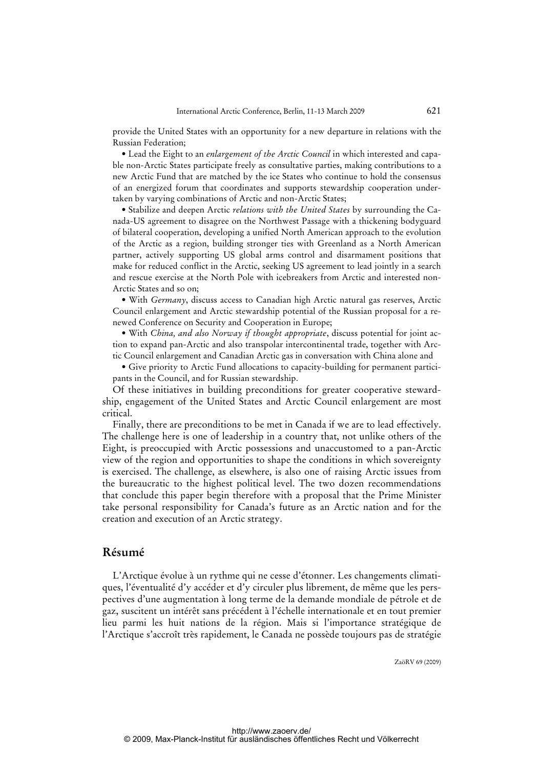provide the United States with an opportunity for a new departure in relations with the Russian Federation;

• Lead the Eight to an *enlargement of the Arctic Council* in which interested and capable non-Arctic States participate freely as consultative parties, making contributions to a new Arctic Fund that are matched by the ice States who continue to hold the consensus of an energized forum that coordinates and supports stewardship cooperation undertaken by varying combinations of Arctic and non-Arctic States;

• Stabilize and deepen Arctic *relations with the United States* by surrounding the Canada-US agreement to disagree on the Northwest Passage with a thickening bodyguard of bilateral cooperation, developing a unified North American approach to the evolution of the Arctic as a region, building stronger ties with Greenland as a North American partner, actively supporting US global arms control and disarmament positions that make for reduced conflict in the Arctic, seeking US agreement to lead jointly in a search and rescue exercise at the North Pole with icebreakers from Arctic and interested non-Arctic States and so on;

• With *Germany*, discuss access to Canadian high Arctic natural gas reserves, Arctic Council enlargement and Arctic stewardship potential of the Russian proposal for a renewed Conference on Security and Cooperation in Europe;

• With *China, and also Norway if thought appropriate*, discuss potential for joint action to expand pan-Arctic and also transpolar intercontinental trade, together with Arctic Council enlargement and Canadian Arctic gas in conversation with China alone and

• Give priority to Arctic Fund allocations to capacity-building for permanent participants in the Council, and for Russian stewardship.

Of these initiatives in building preconditions for greater cooperative stewardship, engagement of the United States and Arctic Council enlargement are most critical.

Finally, there are preconditions to be met in Canada if we are to lead effectively. The challenge here is one of leadership in a country that, not unlike others of the Eight, is preoccupied with Arctic possessions and unaccustomed to a pan-Arctic view of the region and opportunities to shape the conditions in which sovereignty is exercised. The challenge, as elsewhere, is also one of raising Arctic issues from the bureaucratic to the highest political level. The two dozen recommendations that conclude this paper begin therefore with a proposal that the Prime Minister take personal responsibility for Canada's future as an Arctic nation and for the creation and execution of an Arctic strategy.

### **Résumé**

L'Arctique évolue à un rythme qui ne cesse d'étonner. Les changements climatiques, l'éventualité d'y accéder et d'y circuler plus librement, de même que les perspectives d'une augmentation à long terme de la demande mondiale de pétrole et de gaz, suscitent un intérêt sans précédent à l'échelle internationale et en tout premier lieu parmi les huit nations de la région. Mais si l'importance stratégique de l'Arctique s'accroît très rapidement, le Canada ne possède toujours pas de stratégie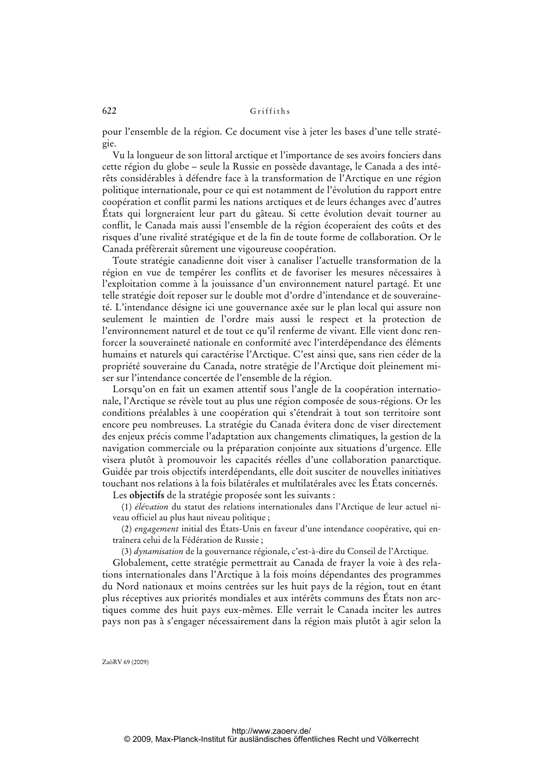pour l'ensemble de la région. Ce document vise à jeter les bases d'une telle stratégie.

Vu la longueur de son littoral arctique et l'importance de ses avoirs fonciers dans cette région du globe – seule la Russie en possède davantage, le Canada a des intérêts considérables à défendre face à la transformation de l'Arctique en une région politique internationale, pour ce qui est notamment de l'évolution du rapport entre coopération et conflit parmi les nations arctiques et de leurs échanges avec d'autres États qui lorgneraient leur part du gâteau. Si cette évolution devait tourner au conflit, le Canada mais aussi l'ensemble de la région écoperaient des coûts et des risques d'une rivalité stratégique et de la fin de toute forme de collaboration. Or le Canada préfèrerait sûrement une vigoureuse coopération.

Toute stratégie canadienne doit viser à canaliser l'actuelle transformation de la région en vue de tempérer les conflits et de favoriser les mesures nécessaires à l'exploitation comme à la jouissance d'un environnement naturel partagé. Et une telle stratégie doit reposer sur le double mot d'ordre d'intendance et de souveraineté. L'intendance désigne ici une gouvernance axée sur le plan local qui assure non seulement le maintien de l'ordre mais aussi le respect et la protection de l'environnement naturel et de tout ce qu'il renferme de vivant. Elle vient donc renforcer la souveraineté nationale en conformité avec l'interdépendance des éléments humains et naturels qui caractérise l'Arctique. C'est ainsi que, sans rien céder de la propriété souveraine du Canada, notre stratégie de l'Arctique doit pleinement miser sur l'intendance concertée de l'ensemble de la région.

Lorsqu'on en fait un examen attentif sous l'angle de la coopération internationale, l'Arctique se révèle tout au plus une région composée de sous-régions. Or les conditions préalables à une coopération qui s'étendrait à tout son territoire sont encore peu nombreuses. La stratégie du Canada évitera donc de viser directement des enjeux précis comme l'adaptation aux changements climatiques, la gestion de la navigation commerciale ou la préparation conjointe aux situations d'urgence. Elle visera plutôt à promouvoir les capacités réelles d'une collaboration panarctique. Guidée par trois objectifs interdépendants, elle doit susciter de nouvelles initiatives touchant nos relations à la fois bilatérales et multilatérales avec les États concernés.

Les **objectifs** de la stratégie proposée sont les suivants :

(1) *élévation* du statut des relations internationales dans l'Arctique de leur actuel niveau officiel au plus haut niveau politique ;

(2) *engagement* initial des États-Unis en faveur d'une intendance coopérative, qui entraînera celui de la Fédération de Russie ;

(3) *dynamisation* de la gouvernance régionale, c'est-à-dire du Conseil de l'Arctique.

Globalement, cette stratégie permettrait au Canada de frayer la voie à des relations internationales dans l'Arctique à la fois moins dépendantes des programmes du Nord nationaux et moins centrées sur les huit pays de la région, tout en étant plus réceptives aux priorités mondiales et aux intérêts communs des États non arctiques comme des huit pays eux-mêmes. Elle verrait le Canada inciter les autres pays non pas à s'engager nécessairement dans la région mais plutôt à agir selon la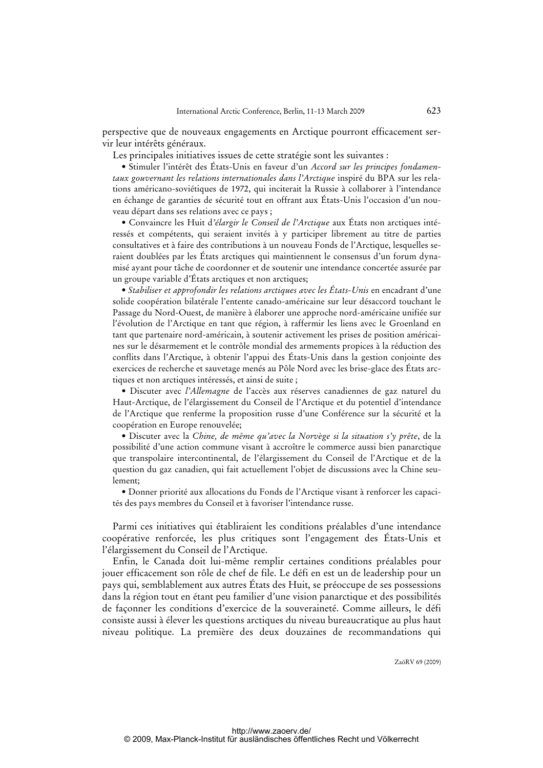perspective que de nouveaux engagements en Arctique pourront efficacement servir leur intérêts généraux.

Les principales initiatives issues de cette stratégie sont les suivantes :

• Stimuler l'intérêt des États-Unis en faveur d'un *Accord sur les principes fondamentaux gouvernant les relations internationales dans l'Arctique* inspiré du BPA sur les relations américano-soviétiques de 1972, qui inciterait la Russie à collaborer à l'intendance en échange de garanties de sécurité tout en offrant aux États-Unis l'occasion d'un nouveau départ dans ses relations avec ce pays ;

• Convaincre les Huit d*'élargir le Conseil de l'Arctique* aux États non arctiques intéressés et compétents, qui seraient invités à y participer librement au titre de parties consultatives et à faire des contributions à un nouveau Fonds de l'Arctique, lesquelles seraient doublées par les États arctiques qui maintiennent le consensus d'un forum dynamisé ayant pour tâche de coordonner et de soutenir une intendance concertée assurée par un groupe variable d'États arctiques et non arctiques;

• *Stabiliser et approfondir les relations arctiques avec les États-Unis* en encadrant d'une solide coopération bilatérale l'entente canado-américaine sur leur désaccord touchant le Passage du Nord-Ouest, de manière à élaborer une approche nord-américaine unifiée sur l'évolution de l'Arctique en tant que région, à raffermir les liens avec le Groenland en tant que partenaire nord-américain, à soutenir activement les prises de position américaines sur le désarmement et le contrôle mondial des armements propices à la réduction des conflits dans l'Arctique, à obtenir l'appui des États-Unis dans la gestion conjointe des exercices de recherche et sauvetage menés au Pôle Nord avec les brise-glace des États arctiques et non arctiques intéressés, et ainsi de suite ;

• Discuter avec *l'Allemagne* de l'accès aux réserves canadiennes de gaz naturel du Haut-Arctique, de l'élargissement du Conseil de l'Arctique et du potentiel d'intendance de l'Arctique que renferme la proposition russe d'une Conférence sur la sécurité et la coopération en Europe renouvelée;

• Discuter avec la *Chine, de même qu'avec la Norvège si la situation s'y prête*, de la possibilité d'une action commune visant à accroître le commerce aussi bien panarctique que transpolaire intercontinental, de l'élargissement du Conseil de l'Arctique et de la question du gaz canadien, qui fait actuellement l'objet de discussions avec la Chine seulement;

• Donner priorité aux allocations du Fonds de l'Arctique visant à renforcer les capacités des pays membres du Conseil et à favoriser l'intendance russe.

Parmi ces initiatives qui établiraient les conditions préalables d'une intendance coopérative renforcée, les plus critiques sont l'engagement des États-Unis et l'élargissement du Conseil de l'Arctique.

Enfin, le Canada doit lui-même remplir certaines conditions préalables pour jouer efficacement son rôle de chef de file. Le défi en est un de leadership pour un pays qui, semblablement aux autres États des Huit, se préoccupe de ses possessions dans la région tout en étant peu familier d'une vision panarctique et des possibilités de façonner les conditions d'exercice de la souveraineté. Comme ailleurs, le défi consiste aussi à élever les questions arctiques du niveau bureaucratique au plus haut niveau politique. La première des deux douzaines de recommandations qui